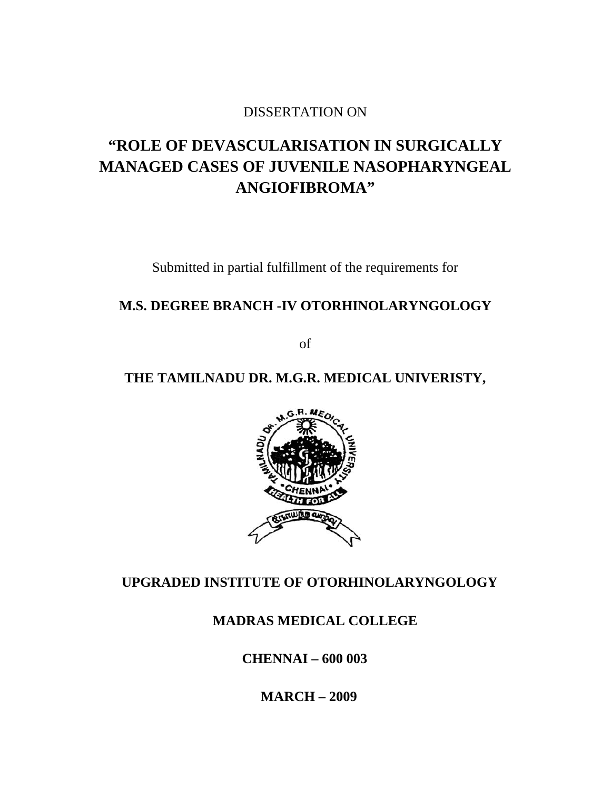### DISSERTATION ON

# **"ROLE OF DEVASCULARISATION IN SURGICALLY MANAGED CASES OF JUVENILE NASOPHARYNGEAL ANGIOFIBROMA"**

Submitted in partial fulfillment of the requirements for

## **M.S. DEGREE BRANCH -IV OTORHINOLARYNGOLOGY**

of

# **THE TAMILNADU DR. M.G.R. MEDICAL UNIVERISTY,**



## **UPGRADED INSTITUTE OF OTORHINOLARYNGOLOGY**

## **MADRAS MEDICAL COLLEGE**

 **CHENNAI – 600 003** 

 **MARCH – 2009**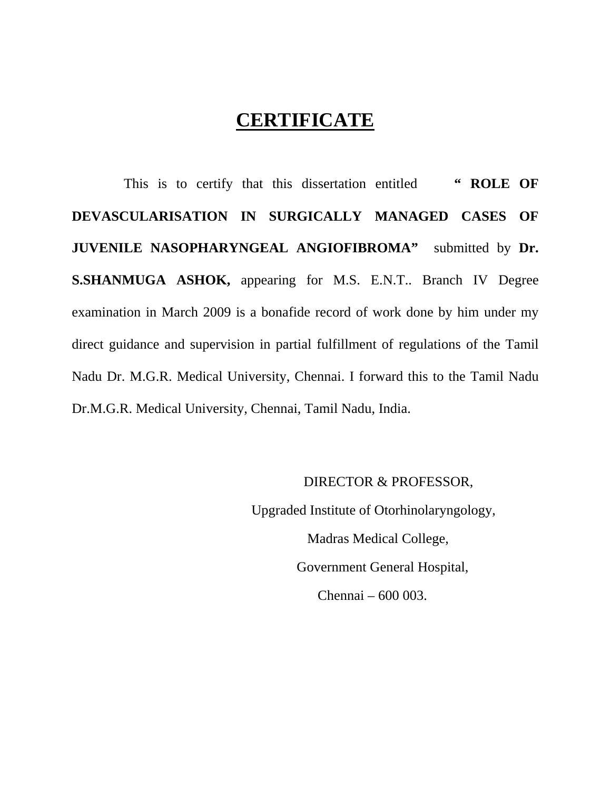# **CERTIFICATE**

 This is to certify that this dissertation entitled **" ROLE OF DEVASCULARISATION IN SURGICALLY MANAGED CASES OF JUVENILE NASOPHARYNGEAL ANGIOFIBROMA"** submitted by **Dr. S.SHANMUGA ASHOK,** appearing for M.S. E.N.T.. Branch IV Degree examination in March 2009 is a bonafide record of work done by him under my direct guidance and supervision in partial fulfillment of regulations of the Tamil Nadu Dr. M.G.R. Medical University, Chennai. I forward this to the Tamil Nadu Dr.M.G.R. Medical University, Chennai, Tamil Nadu, India.

#### DIRECTOR & PROFESSOR,

Upgraded Institute of Otorhinolaryngology, Madras Medical College, Government General Hospital, Chennai – 600 003.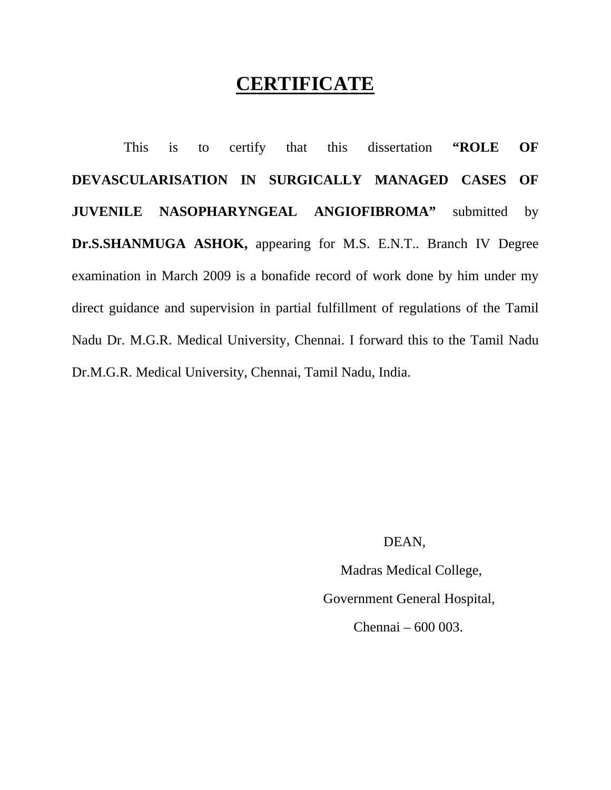# **CERTIFICATE**

 This is to certify that this dissertation **"ROLE OF DEVASCULARISATION IN SURGICALLY MANAGED CASES OF JUVENILE NASOPHARYNGEAL ANGIOFIBROMA"** submitted by **Dr.S.SHANMUGA ASHOK,** appearing for M.S. E.N.T.. Branch IV Degree examination in March 2009 is a bonafide record of work done by him under my direct guidance and supervision in partial fulfillment of regulations of the Tamil Nadu Dr. M.G.R. Medical University, Chennai. I forward this to the Tamil Nadu Dr.M.G.R. Medical University, Chennai, Tamil Nadu, India.

#### DEAN,

 Madras Medical College, Government General Hospital, Chennai – 600 003.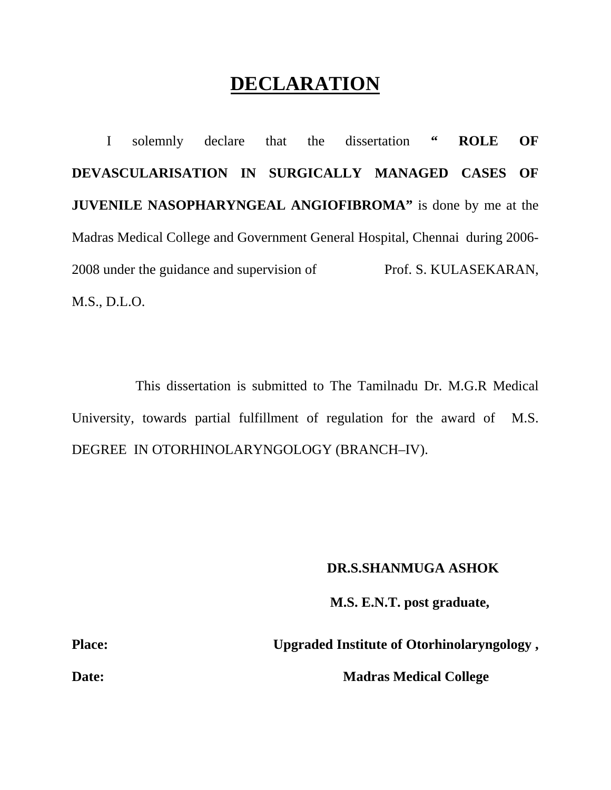# **DECLARATION**

 I solemnly declare that the dissertation **" ROLE OF DEVASCULARISATION IN SURGICALLY MANAGED CASES OF JUVENILE NASOPHARYNGEAL ANGIOFIBROMA"** is done by me at the Madras Medical College and Government General Hospital, Chennaiduring 2006- 2008 under the guidance and supervision ofProf. S. KULASEKARAN, M.S., D.L.O.

 This dissertation is submitted to The Tamilnadu Dr. M.G.R Medical University, towards partial fulfillment of regulation for the award of M.S. DEGREE IN OTORHINOLARYNGOLOGY (BRANCH–IV).

#### **DR.S.SHANMUGA ASHOK**

 **M.S. E.N.T. post graduate,** 

Place: Upgraded Institute of Otorhinolaryngology,

**Date:** Madras Medical College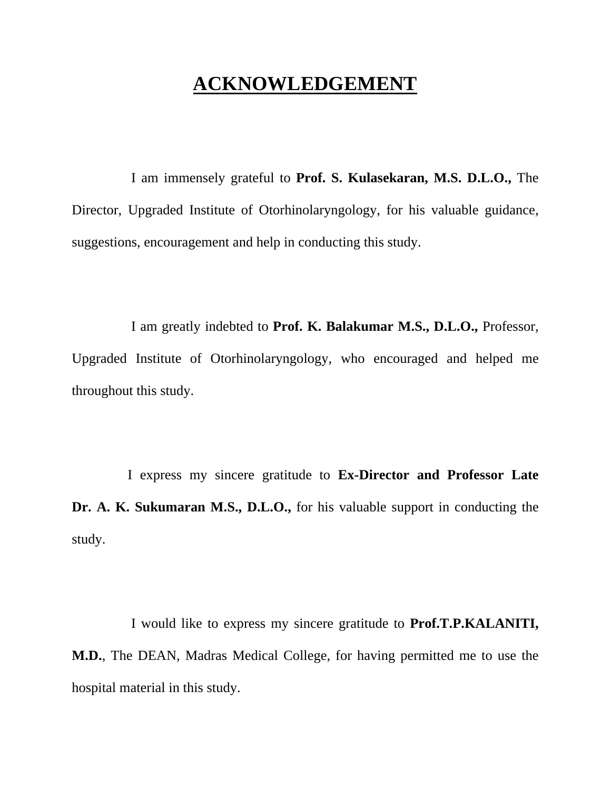# **ACKNOWLEDGEMENT**

 I am immensely grateful to **Prof. S. Kulasekaran, M.S. D.L.O.,** The Director, Upgraded Institute of Otorhinolaryngology, for his valuable guidance, suggestions, encouragement and help in conducting this study.

 I am greatly indebted to **Prof. K. Balakumar M.S., D.L.O.,** Professor, Upgraded Institute of Otorhinolaryngology, who encouraged and helped me throughout this study.

 I express my sincere gratitude to **Ex-Director and Professor Late Dr. A. K. Sukumaran M.S., D.L.O.,** for his valuable support in conducting the study.

 I would like to express my sincere gratitude to **Prof.T.P.KALANITI, M.D.**, The DEAN, Madras Medical College, for having permitted me to use the hospital material in this study.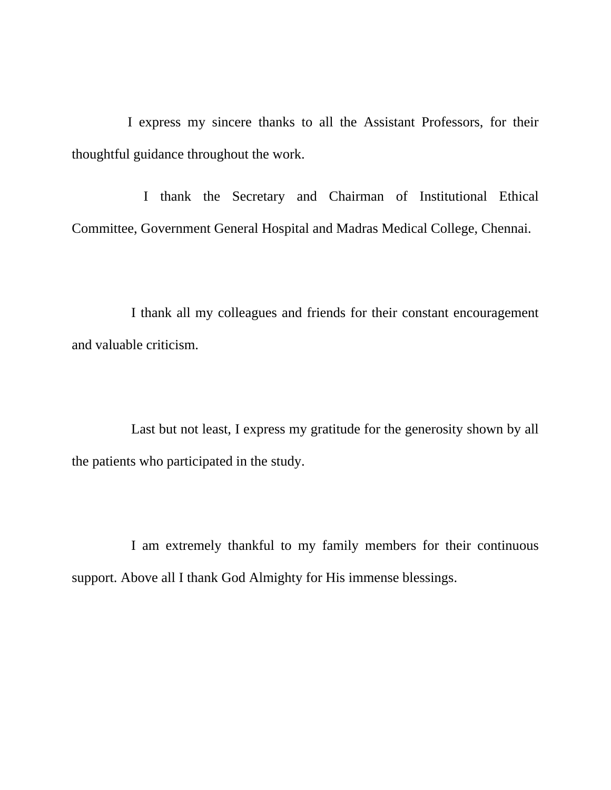I express my sincere thanks to all the Assistant Professors, for their thoughtful guidance throughout the work.

 I thank the Secretary and Chairman of Institutional Ethical Committee, Government General Hospital and Madras Medical College, Chennai.

 I thank all my colleagues and friends for their constant encouragement and valuable criticism.

 Last but not least, I express my gratitude for the generosity shown by all the patients who participated in the study.

 I am extremely thankful to my family members for their continuous support. Above all I thank God Almighty for His immense blessings.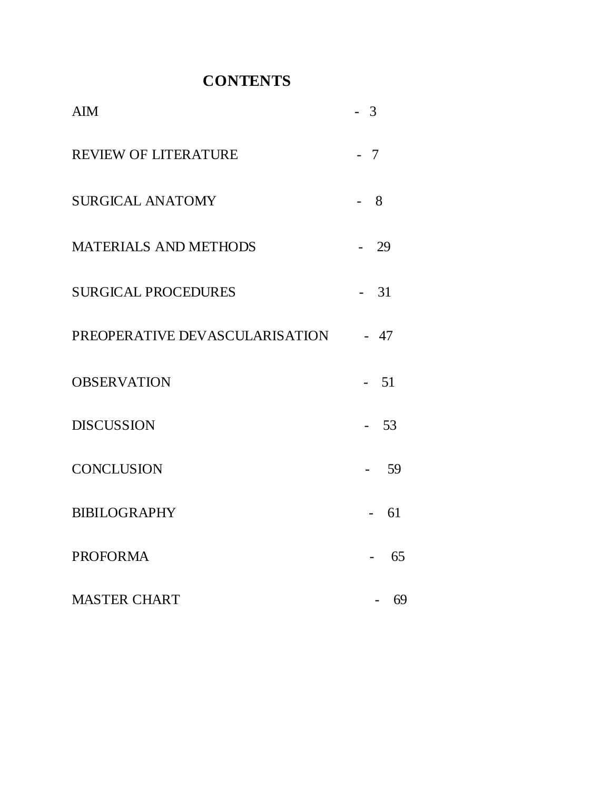# **CONTENTS**

| <b>AIM</b>                     | 3            |
|--------------------------------|--------------|
| <b>REVIEW OF LITERATURE</b>    | 7            |
| <b>SURGICAL ANATOMY</b>        | 8            |
| <b>MATERIALS AND METHODS</b>   | 29           |
| <b>SURGICAL PROCEDURES</b>     | 31<br>$\sim$ |
| PREOPERATIVE DEVASCULARISATION | $-47$        |
| <b>OBSERVATION</b>             | 51           |
| <b>DISCUSSION</b>              | 53           |
| <b>CONCLUSION</b>              | 59           |
| <b>BIBILOGRAPHY</b>            | 61           |
| <b>PROFORMA</b>                | 65           |
| <b>MASTER CHART</b>            | 69           |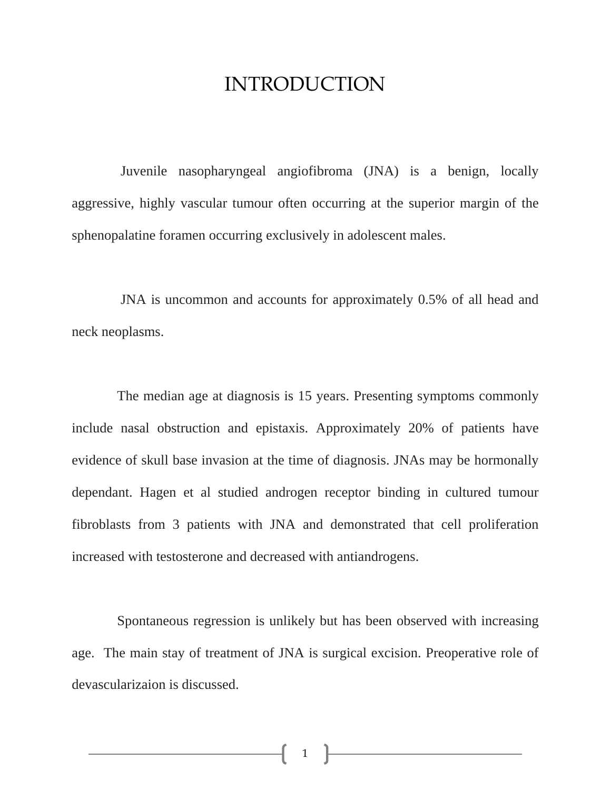# INTRODUCTION

 Juvenile nasopharyngeal angiofibroma (JNA) is a benign, locally aggressive, highly vascular tumour often occurring at the superior margin of the sphenopalatine foramen occurring exclusively in adolescent males.

 JNA is uncommon and accounts for approximately 0.5% of all head and neck neoplasms.

 The median age at diagnosis is 15 years. Presenting symptoms commonly include nasal obstruction and epistaxis. Approximately 20% of patients have evidence of skull base invasion at the time of diagnosis. JNAs may be hormonally dependant. Hagen et al studied androgen receptor binding in cultured tumour fibroblasts from 3 patients with JNA and demonstrated that cell proliferation increased with testosterone and decreased with antiandrogens.

 Spontaneous regression is unlikely but has been observed with increasing age. The main stay of treatment of JNA is surgical excision. Preoperative role of devascularizaion is discussed.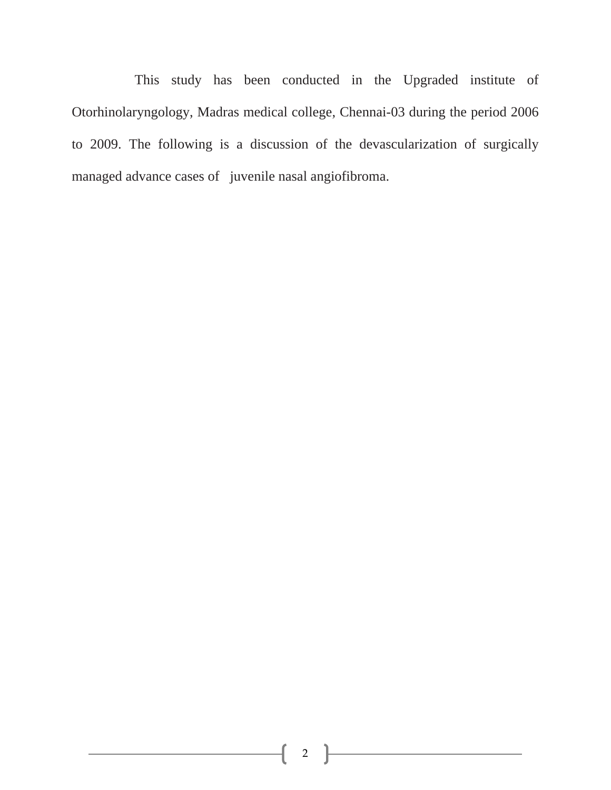This study has been conducted in the Upgraded institute of Otorhinolaryngology, Madras medical college, Chennai-03 during the period 2006 to 2009. The following is a discussion of the devascularization of surgically managed advance cases of juvenile nasal angiofibroma.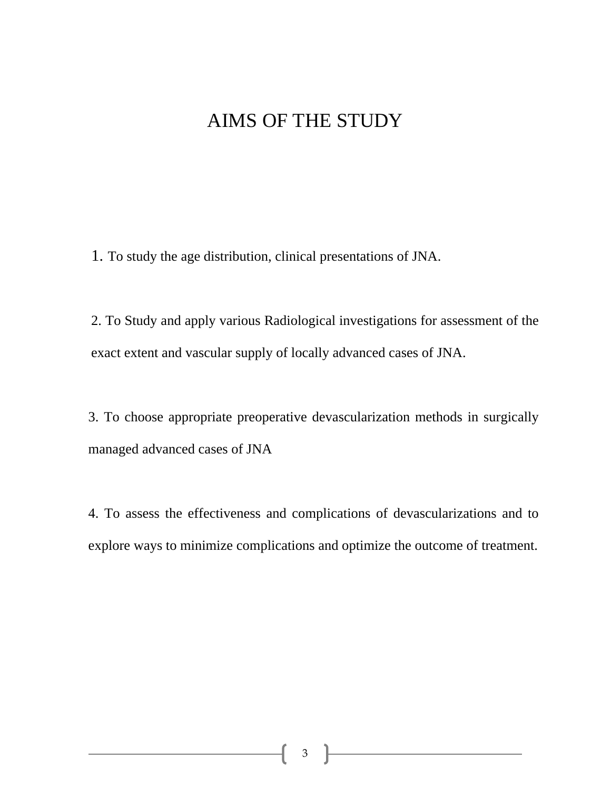# AIMS OF THE STUDY

1. To study the age distribution, clinical presentations of JNA.

2. To Study and apply various Radiological investigations for assessment of the exact extent and vascular supply of locally advanced cases of JNA.

3. To choose appropriate preoperative devascularization methods in surgically managed advanced cases of JNA

4. To assess the effectiveness and complications of devascularizations and to explore ways to minimize complications and optimize the outcome of treatment.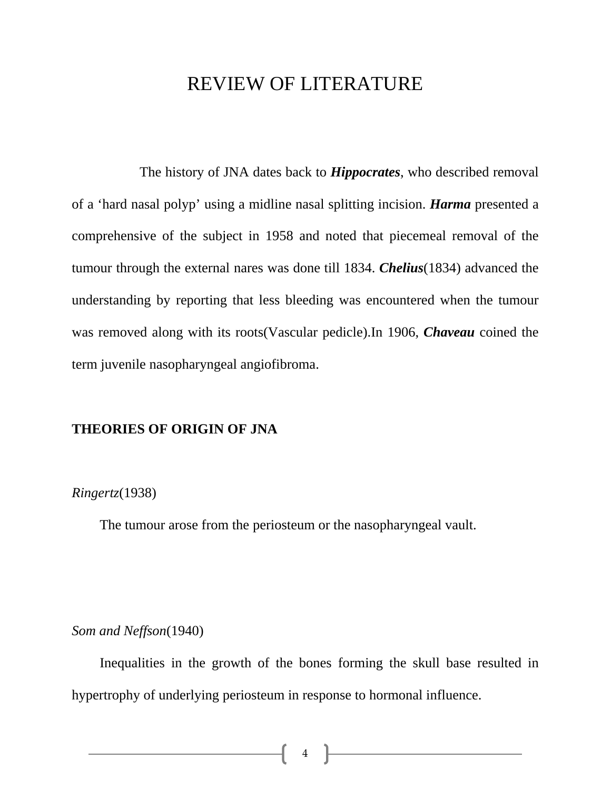# REVIEW OF LITERATURE

 The history of JNA dates back to *Hippocrates*, who described removal of a 'hard nasal polyp' using a midline nasal splitting incision. *Harma* presented a comprehensive of the subject in 1958 and noted that piecemeal removal of the tumour through the external nares was done till 1834. *Chelius*(1834) advanced the understanding by reporting that less bleeding was encountered when the tumour was removed along with its roots(Vascular pedicle).In 1906, *Chaveau* coined the term juvenile nasopharyngeal angiofibroma.

### **THEORIES OF ORIGIN OF JNA**

### *Ringertz*(1938)

The tumour arose from the periosteum or the nasopharyngeal vault.

#### *Som and Neffson*(1940)

 Inequalities in the growth of the bones forming the skull base resulted in hypertrophy of underlying periosteum in response to hormonal influence.

 $\begin{bmatrix} 4 \end{bmatrix}$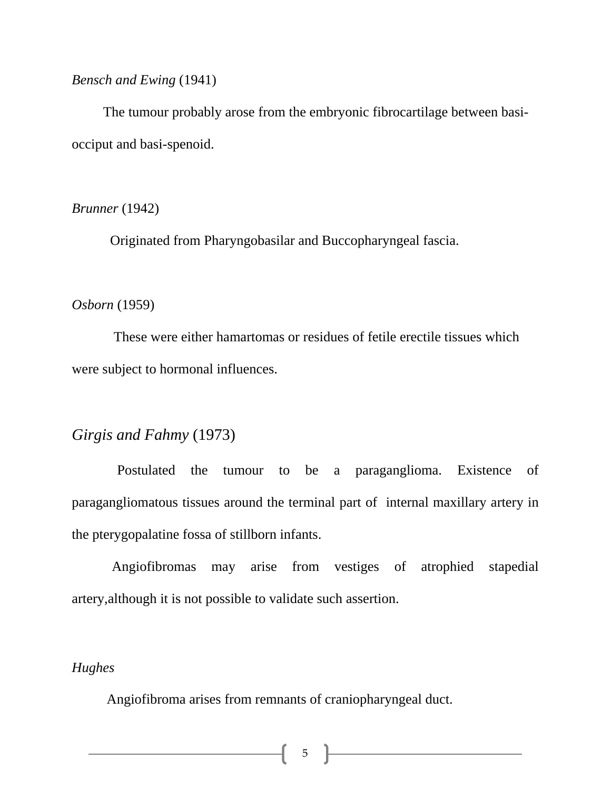*Bensch and Ewing* (1941)

 The tumour probably arose from the embryonic fibrocartilage between basiocciput and basi-spenoid.

*Brunner* (1942)

Originated from Pharyngobasilar and Buccopharyngeal fascia.

#### *Osborn* (1959)

 These were either hamartomas or residues of fetile erectile tissues which were subject to hormonal influences.

# *Girgis and Fahmy* (1973)

 Postulated the tumour to be a paraganglioma. Existence of paragangliomatous tissues around the terminal part of internal maxillary artery in the pterygopalatine fossa of stillborn infants.

 Angiofibromas may arise from vestiges of atrophied stapedial artery,although it is not possible to validate such assertion.

## *Hughes*

Angiofibroma arises from remnants of craniopharyngeal duct.

5 }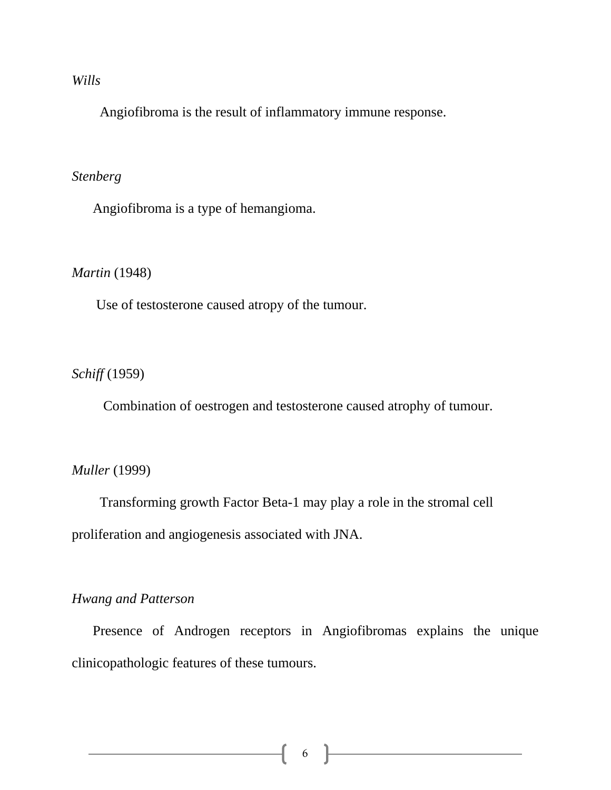#### *Wills*

Angiofibroma is the result of inflammatory immune response.

### *Stenberg*

Angiofibroma is a type of hemangioma.

### *Martin* (1948)

Use of testosterone caused atropy of the tumour.

### *Schiff* (1959)

Combination of oestrogen and testosterone caused atrophy of tumour.

#### *Muller* (1999)

 Transforming growth Factor Beta-1 may play a role in the stromal cell proliferation and angiogenesis associated with JNA.

### *Hwang and Patterson*

 Presence of Androgen receptors in Angiofibromas explains the unique clinicopathologic features of these tumours.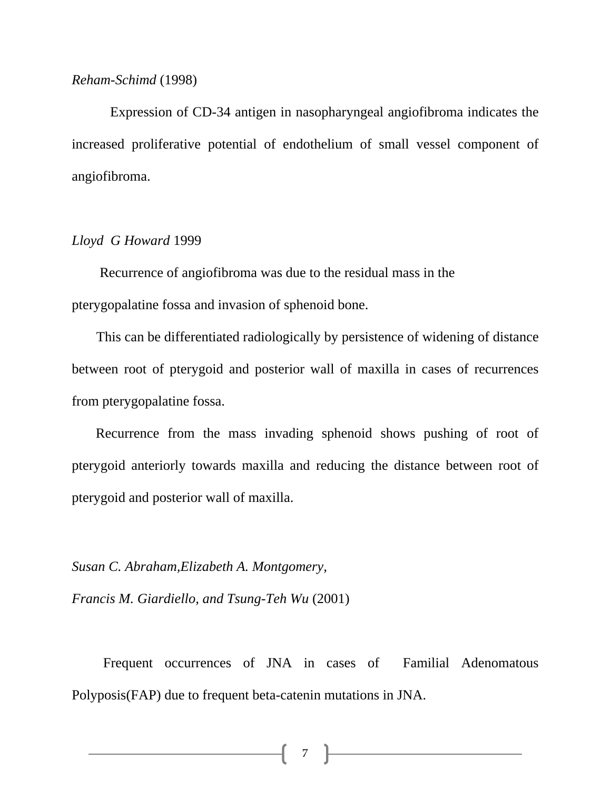#### *Reham-Schimd* (1998)

 Expression of CD-34 antigen in nasopharyngeal angiofibroma indicates the increased proliferative potential of endothelium of small vessel component of angiofibroma.

#### *Lloyd G Howard* 1999

 Recurrence of angiofibroma was due to the residual mass in the pterygopalatine fossa and invasion of sphenoid bone.

 This can be differentiated radiologically by persistence of widening of distance between root of pterygoid and posterior wall of maxilla in cases of recurrences from pterygopalatine fossa.

 Recurrence from the mass invading sphenoid shows pushing of root of pterygoid anteriorly towards maxilla and reducing the distance between root of pterygoid and posterior wall of maxilla.

*Susan C. Abraham,Elizabeth A. Montgomery,* 

*Francis M. Giardiello, and Tsung-Teh Wu* (2001)

 Frequent occurrences of JNA in cases of Familial Adenomatous Polyposis(FAP) due to frequent beta-catenin mutations in JNA.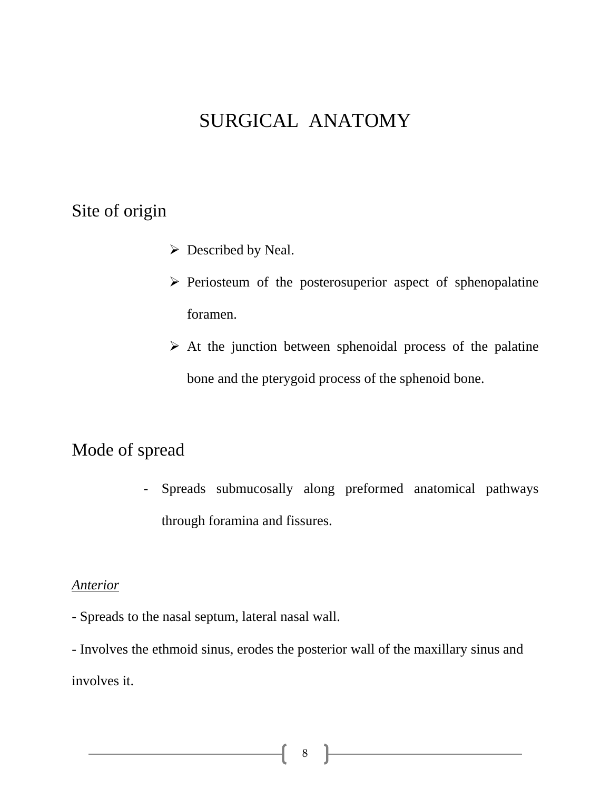# SURGICAL ANATOMY

# Site of origin

- $\triangleright$  Described by Neal.
- $\triangleright$  Periosteum of the posterosuperior aspect of sphenopalatine foramen.
- $\triangleright$  At the junction between sphenoidal process of the palatine bone and the pterygoid process of the sphenoid bone.

# Mode of spread

- Spreads submucosally along preformed anatomical pathways through foramina and fissures.

### *Anterior*

- Spreads to the nasal septum, lateral nasal wall.

- Involves the ethmoid sinus, erodes the posterior wall of the maxillary sinus and involves it.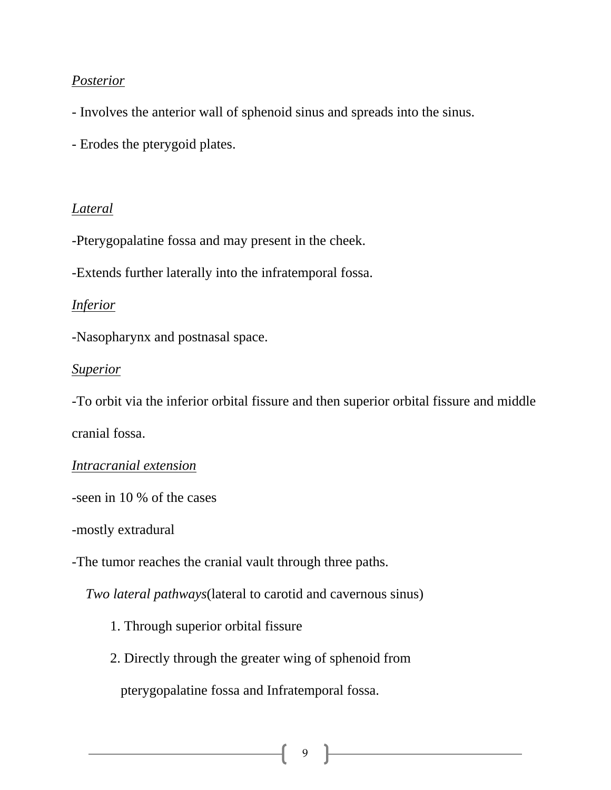## *Posterior*

- Involves the anterior wall of sphenoid sinus and spreads into the sinus.
- Erodes the pterygoid plates.

### *Lateral*

-Pterygopalatine fossa and may present in the cheek.

-Extends further laterally into the infratemporal fossa.

### *Inferior*

-Nasopharynx and postnasal space.

### *Superior*

-To orbit via the inferior orbital fissure and then superior orbital fissure and middle cranial fossa.

## *Intracranial extension*

-seen in 10 % of the cases

-mostly extradural

-The tumor reaches the cranial vault through three paths.

*Two lateral pathways*(lateral to carotid and cavernous sinus)

- 1. Through superior orbital fissure
- 2. Directly through the greater wing of sphenoid from

pterygopalatine fossa and Infratemporal fossa.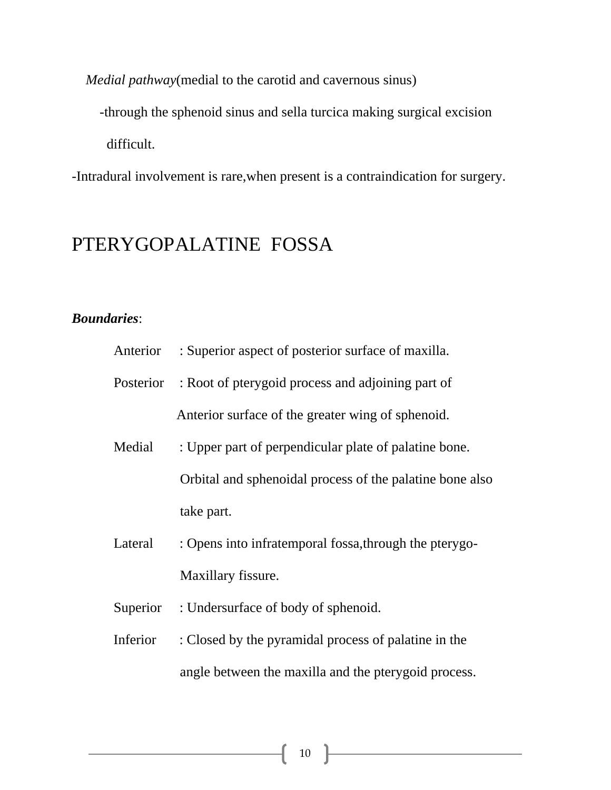*Medial pathway*(medial to the carotid and cavernous sinus)

-through the sphenoid sinus and sella turcica making surgical excision

difficult.

-Intradural involvement is rare,when present is a contraindication for surgery.

# PTERYGOPALATINE FOSSA

## *Boundaries*:

|          | Anterior : Superior aspect of posterior surface of maxilla. |
|----------|-------------------------------------------------------------|
|          | Posterior : Root of pterygoid process and adjoining part of |
|          | Anterior surface of the greater wing of sphenoid.           |
| Medial   | : Upper part of perpendicular plate of palatine bone.       |
|          | Orbital and sphenoidal process of the palatine bone also    |
|          | take part.                                                  |
| Lateral  | : Opens into infratemporal fossa, through the pterygo-      |
|          | Maxillary fissure.                                          |
| Superior | : Undersurface of body of sphenoid.                         |
| Inferior | : Closed by the pyramidal process of palatine in the        |
|          |                                                             |

angle between the maxilla and the pterygoid process.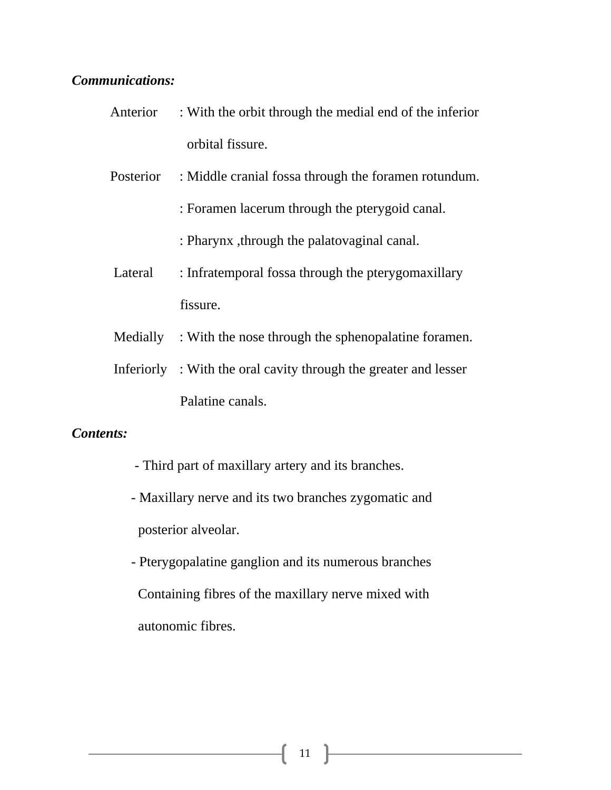### *Communications:*

- Anterior : With the orbit through the medial end of the inferior orbital fissure.
- Posterior : Middle cranial fossa through the foramen rotundum.
	- : Foramen lacerum through the pterygoid canal.
	- : Pharynx ,through the palatovaginal canal.
- Lateral : Infratemporal fossa through the pterygomaxillary fissure.
- Medially : With the nose through the sphenopalatine foramen.
- Inferiorly : With the oral cavity through the greater and lesser Palatine canals.

#### *Contents:*

- Third part of maxillary artery and its branches.
- Maxillary nerve and its two branches zygomatic and posterior alveolar.
- Pterygopalatine ganglion and its numerous branches Containing fibres of the maxillary nerve mixed with autonomic fibres.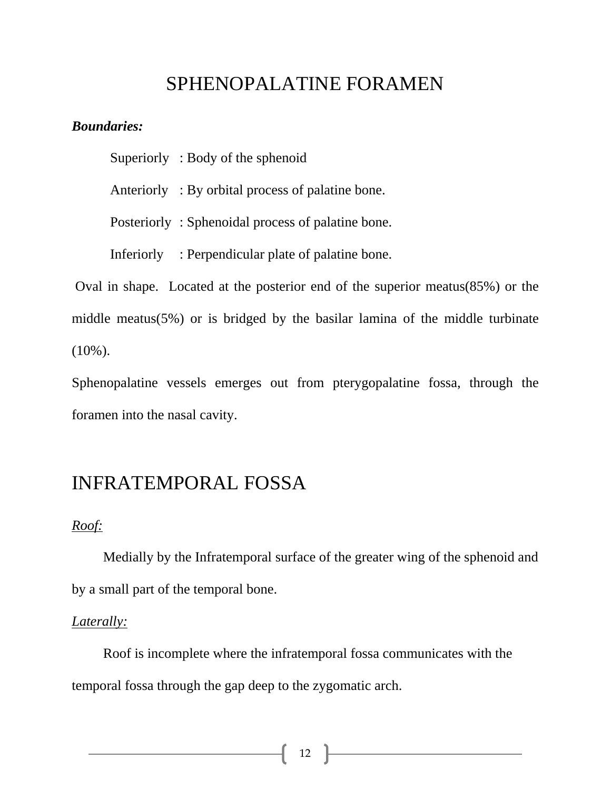# SPHENOPALATINE FORAMEN

#### *Boundaries:*

Superiorly : Body of the sphenoid

Anteriorly : By orbital process of palatine bone.

Posteriorly : Sphenoidal process of palatine bone.

Inferiorly : Perpendicular plate of palatine bone.

 Oval in shape. Located at the posterior end of the superior meatus(85%) or the middle meatus(5%) or is bridged by the basilar lamina of the middle turbinate  $(10\%)$ .

Sphenopalatine vessels emerges out from pterygopalatine fossa, through the foramen into the nasal cavity.

# INFRATEMPORAL FOSSA

### *Roof:*

 Medially by the Infratemporal surface of the greater wing of the sphenoid and by a small part of the temporal bone.

#### *Laterally:*

 Roof is incomplete where the infratemporal fossa communicates with the temporal fossa through the gap deep to the zygomatic arch.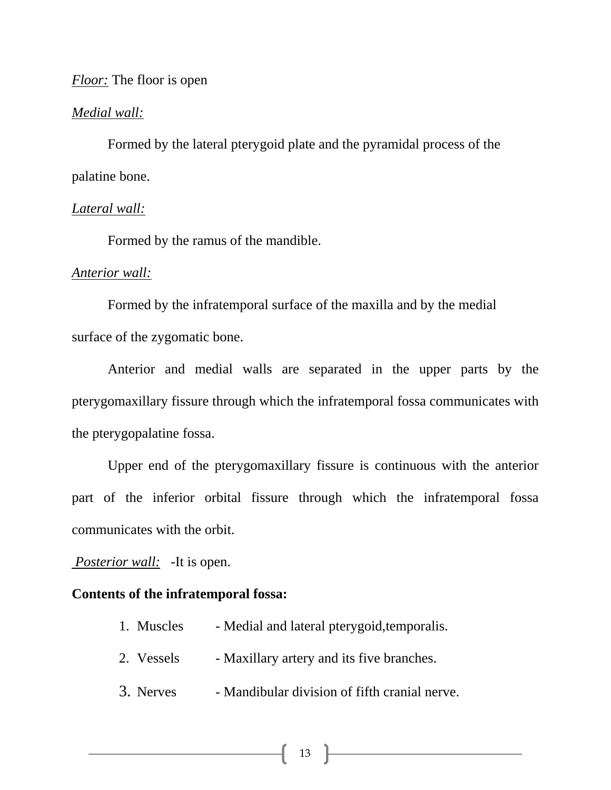### *Floor:* The floor is open

#### *Medial wall:*

 Formed by the lateral pterygoid plate and the pyramidal process of the palatine bone.

#### *Lateral wall:*

Formed by the ramus of the mandible.

#### *Anterior wall:*

 Formed by the infratemporal surface of the maxilla and by the medial surface of the zygomatic bone.

 Anterior and medial walls are separated in the upper parts by the pterygomaxillary fissure through which the infratemporal fossa communicates with the pterygopalatine fossa.

 Upper end of the pterygomaxillary fissure is continuous with the anterior part of the inferior orbital fissure through which the infratemporal fossa communicates with the orbit.

*Posterior wall:* -It is open.

#### **Contents of the infratemporal fossa:**

- 1. Muscles Medial and lateral pterygoid,temporalis.
- 2. Vessels Maxillary artery and its five branches.
- 3. Nerves Mandibular division of fifth cranial nerve.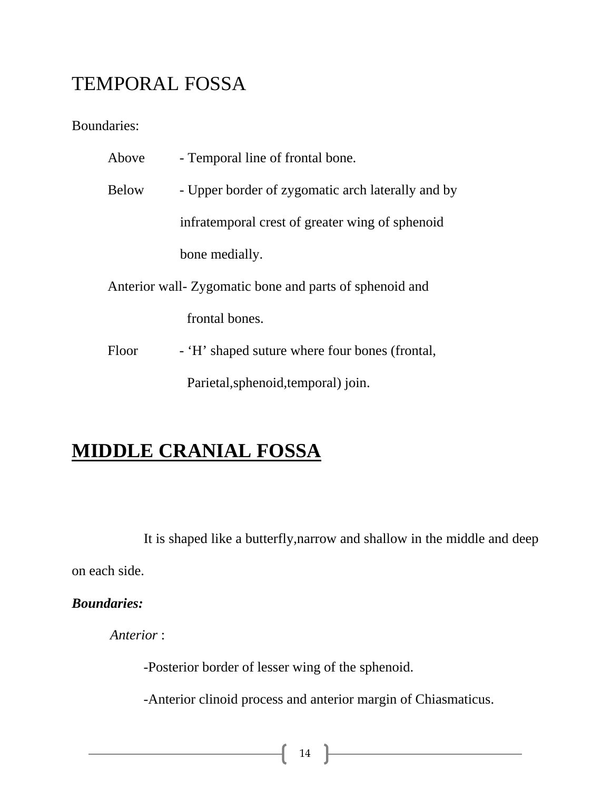# TEMPORAL FOSSA

Boundaries:

| Above                                                   | - Temporal line of frontal bone.                  |
|---------------------------------------------------------|---------------------------------------------------|
| <b>Below</b>                                            | - Upper border of zygomatic arch laterally and by |
|                                                         | infratemporal crest of greater wing of sphenoid   |
|                                                         | bone medially.                                    |
| Anterior wall- Zygomatic bone and parts of sphenoid and |                                                   |
|                                                         | frontal bones.                                    |
| Floor                                                   | - 'H' shaped suture where four bones (frontal,    |
|                                                         | Parietal, sphenoid, temporal) join.               |

# **MIDDLE CRANIAL FOSSA**

 It is shaped like a butterfly,narrow and shallow in the middle and deep on each side.

*Boundaries:* 

*Anterior* :

-Posterior border of lesser wing of the sphenoid.

-Anterior clinoid process and anterior margin of Chiasmaticus.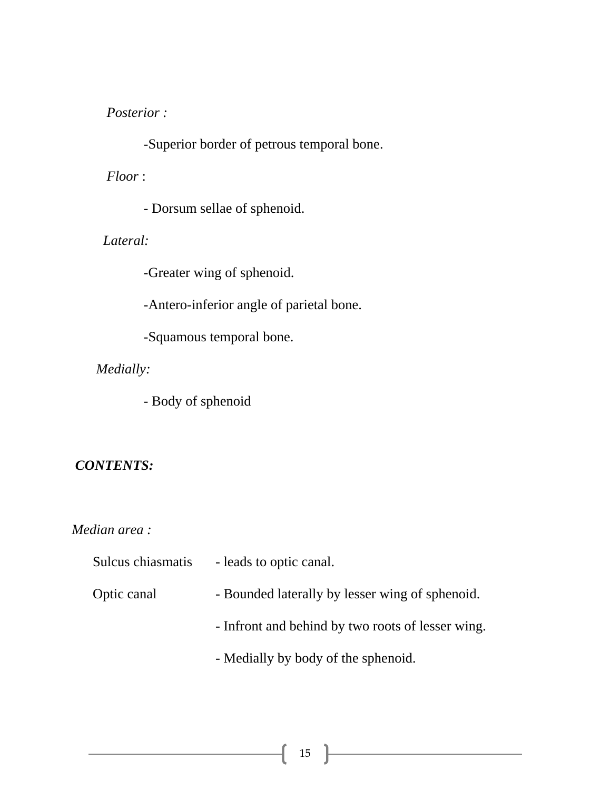*Posterior :* 

-Superior border of petrous temporal bone.

*Floor* :

- Dorsum sellae of sphenoid.

*Lateral:* 

-Greater wing of sphenoid.

-Antero-inferior angle of parietal bone.

-Squamous temporal bone.

*Medially:* 

*-* Body of sphenoid

# *CONTENTS:*

# *Median area :*

| Sulcus chiasmatis | - leads to optic canal.                           |
|-------------------|---------------------------------------------------|
| Optic canal       | - Bounded laterally by lesser wing of sphenoid.   |
|                   | - Infront and behind by two roots of lesser wing. |
|                   | - Medially by body of the sphenoid.               |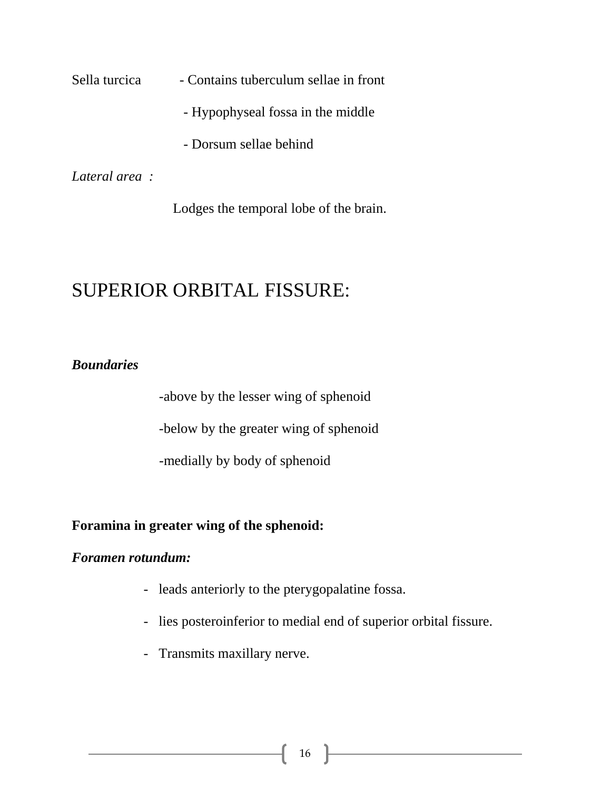Sella turcica - Contains tuberculum sellae in front

- Hypophyseal fossa in the middle
- Dorsum sellae behind

*Lateral area :* 

Lodges the temporal lobe of the brain.

# SUPERIOR ORBITAL FISSURE:

# *Boundaries*

-above by the lesser wing of sphenoid

-below by the greater wing of sphenoid

-medially by body of sphenoid

# **Foramina in greater wing of the sphenoid:**

### *Foramen rotundum:*

- leads anteriorly to the pterygopalatine fossa.
- lies posteroinferior to medial end of superior orbital fissure.
- Transmits maxillary nerve.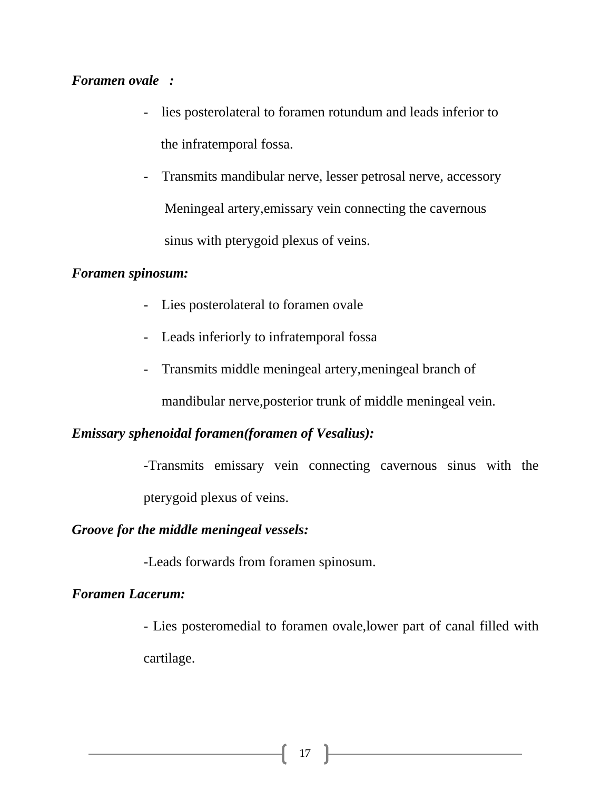## *Foramen ovale :*

- lies posterolateral to foramen rotundum and leads inferior to the infratemporal fossa.
- Transmits mandibular nerve, lesser petrosal nerve, accessory Meningeal artery,emissary vein connecting the cavernous sinus with pterygoid plexus of veins.

### *Foramen spinosum:*

- Lies posterolateral to foramen ovale
- Leads inferiorly to infratemporal fossa
- Transmits middle meningeal artery,meningeal branch of

mandibular nerve,posterior trunk of middle meningeal vein.

### *Emissary sphenoidal foramen(foramen of Vesalius):*

-Transmits emissary vein connecting cavernous sinus with the pterygoid plexus of veins.

### *Groove for the middle meningeal vessels:*

-Leads forwards from foramen spinosum.

## *Foramen Lacerum:*

- Lies posteromedial to foramen ovale,lower part of canal filled with cartilage.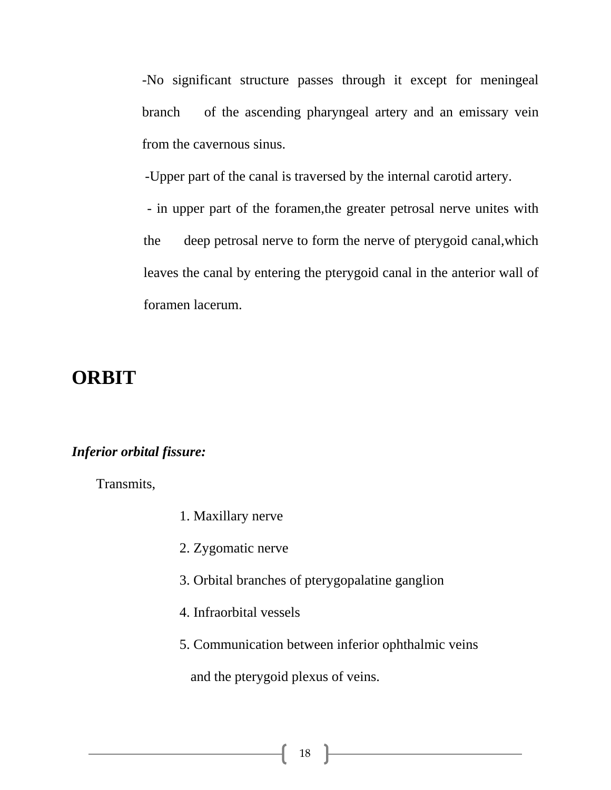-No significant structure passes through it except for meningeal branch of the ascending pharyngeal artery and an emissary vein from the cavernous sinus.

-Upper part of the canal is traversed by the internal carotid artery.

 - in upper part of the foramen,the greater petrosal nerve unites with the deep petrosal nerve to form the nerve of pterygoid canal,which leaves the canal by entering the pterygoid canal in the anterior wall of foramen lacerum.

# **ORBIT**

## *Inferior orbital fissure:*

Transmits,

- 1. Maxillary nerve
- 2. Zygomatic nerve
- 3. Orbital branches of pterygopalatine ganglion
- 4. Infraorbital vessels
- 5. Communication between inferior ophthalmic veins

and the pterygoid plexus of veins.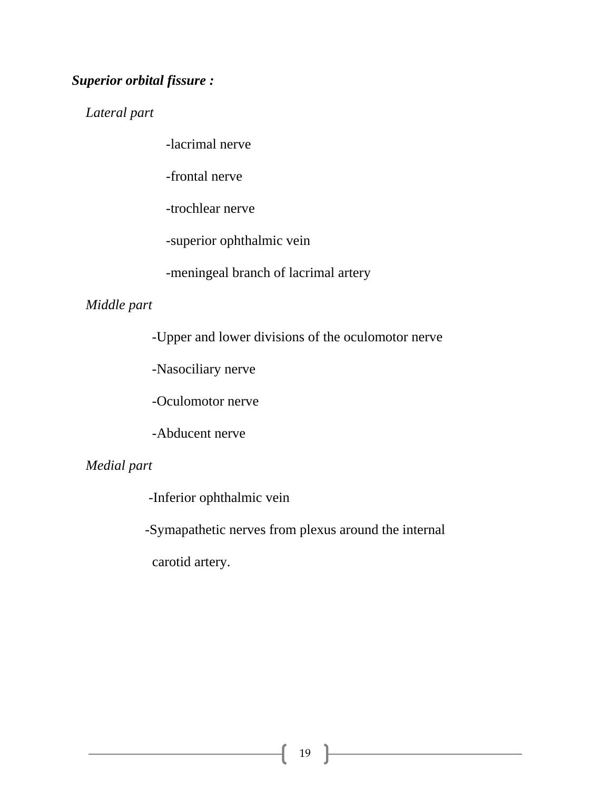# *Superior orbital fissure :*

 *Lateral part* 

-lacrimal nerve

-frontal nerve

-trochlear nerve

-superior ophthalmic vein

-meningeal branch of lacrimal artery

## *Middle part*

-Upper and lower divisions of the oculomotor nerve

-Nasociliary nerve

-Oculomotor nerve

-Abducent nerve

# *Medial part*

-Inferior ophthalmic vein

-Symapathetic nerves from plexus around the internal

carotid artery.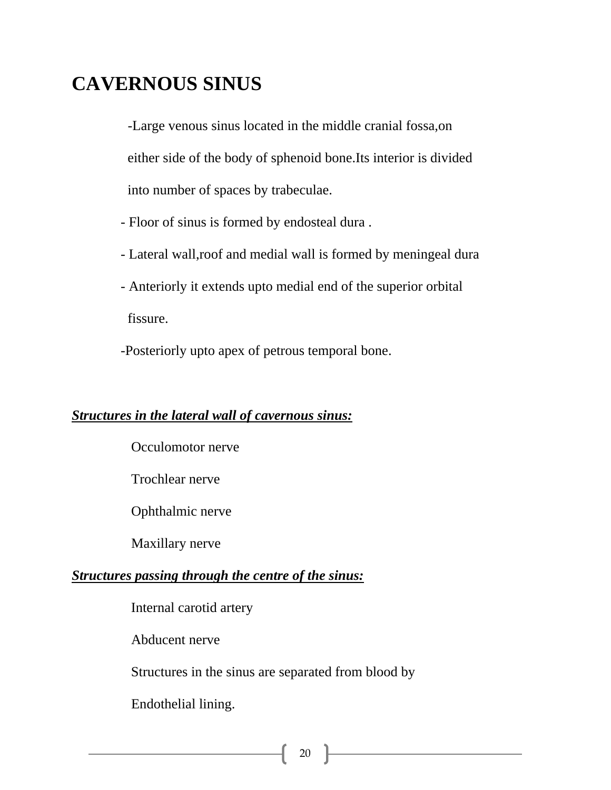# **CAVERNOUS SINUS**

 -Large venous sinus located in the middle cranial fossa,on either side of the body of sphenoid bone.Its interior is divided into number of spaces by trabeculae.

- Floor of sinus is formed by endosteal dura .

- Lateral wall,roof and medial wall is formed by meningeal dura
- Anteriorly it extends upto medial end of the superior orbital

fissure.

-Posteriorly upto apex of petrous temporal bone.

### *Structures in the lateral wall of cavernous sinus:*

Occulomotor nerve

Trochlear nerve

Ophthalmic nerve

Maxillary nerve

### *Structures passing through the centre of the sinus:*

Internal carotid artery

Abducent nerve

Structures in the sinus are separated from blood by

Endothelial lining.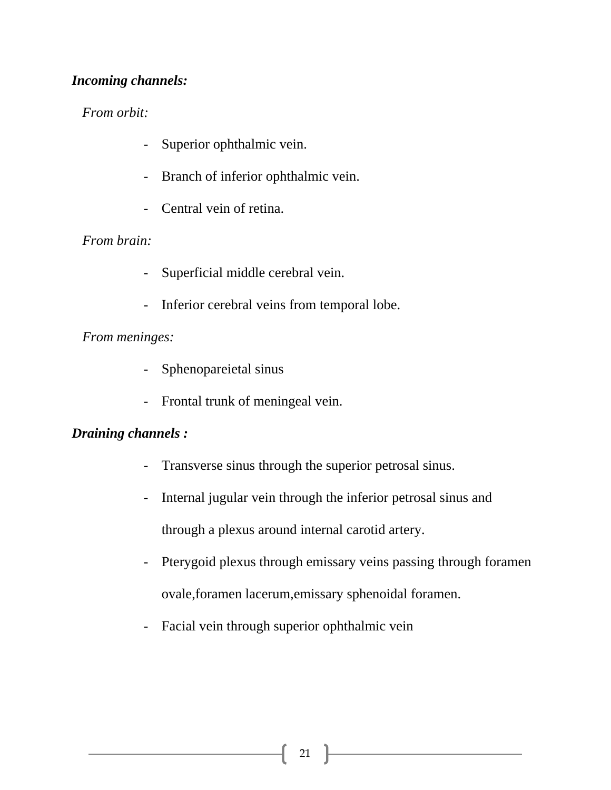# *Incoming channels:*

# *From orbit:*

- Superior ophthalmic vein.
- Branch of inferior ophthalmic vein.
- Central vein of retina.

# *From brain:*

- Superficial middle cerebral vein.
- Inferior cerebral veins from temporal lobe.

# *From meninges:*

- Sphenopareietal sinus
- Frontal trunk of meningeal vein.

# *Draining channels :*

- Transverse sinus through the superior petrosal sinus.
- Internal jugular vein through the inferior petrosal sinus and

through a plexus around internal carotid artery.

- Pterygoid plexus through emissary veins passing through foramen ovale,foramen lacerum,emissary sphenoidal foramen.
- Facial vein through superior ophthalmic vein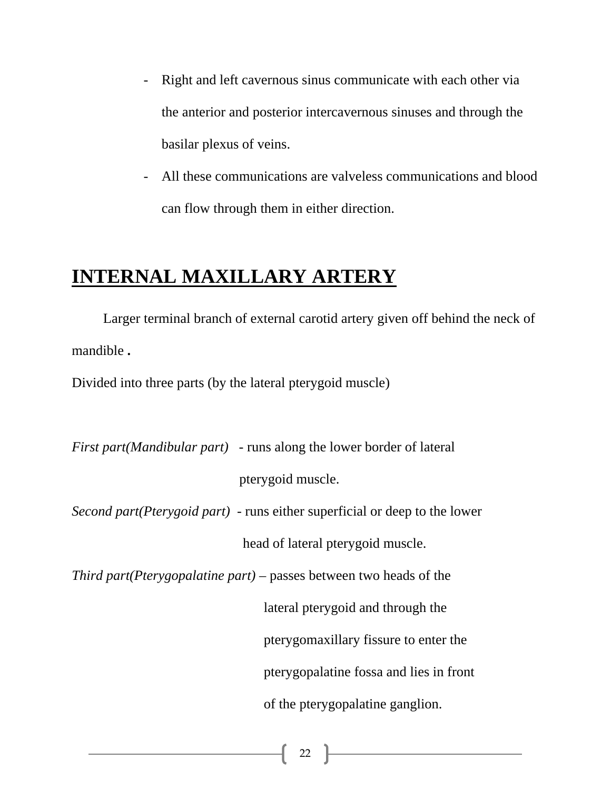- Right and left cavernous sinus communicate with each other via the anterior and posterior intercavernous sinuses and through the basilar plexus of veins.
- All these communications are valveless communications and blood can flow through them in either direction.

# **INTERNAL MAXILLARY ARTERY**

 Larger terminal branch of external carotid artery given off behind the neck of mandible **.** 

Divided into three parts (by the lateral pterygoid muscle)

*First part(Mandibular part)* - runs along the lower border of lateral pterygoid muscle. *Second part(Pterygoid part)* - runs either superficial or deep to the lower

head of lateral pterygoid muscle.

*Third part(Pterygopalatine part)* – passes between two heads of the

 lateral pterygoid and through the pterygomaxillary fissure to enter the

pterygopalatine fossa and lies in front

of the pterygopalatine ganglion.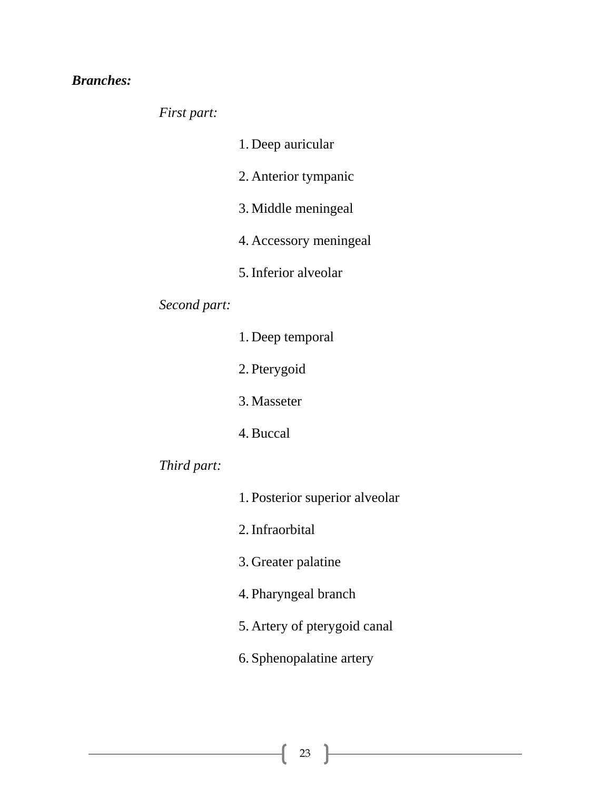# *Branches:*

*First part:* 

| 1. Deep auricular |
|-------------------|
|-------------------|

- 2. Anterior tympanic
- 3. Middle meningeal
- 4. Accessory meningeal
- 5.Inferior alveolar

# *Second part:*

| 1. Deep temporal |
|------------------|
| 2. Pterygoid     |
| 3. Masseter      |
| 4. Buccal        |
|                  |

- *Third part:*
- 1. Posterior superior alveolar 2.Infraorbital 3. Greater palatine 4. Pharyngeal branch
- 5. Artery of pterygoid canal
- 6. Sphenopalatine artery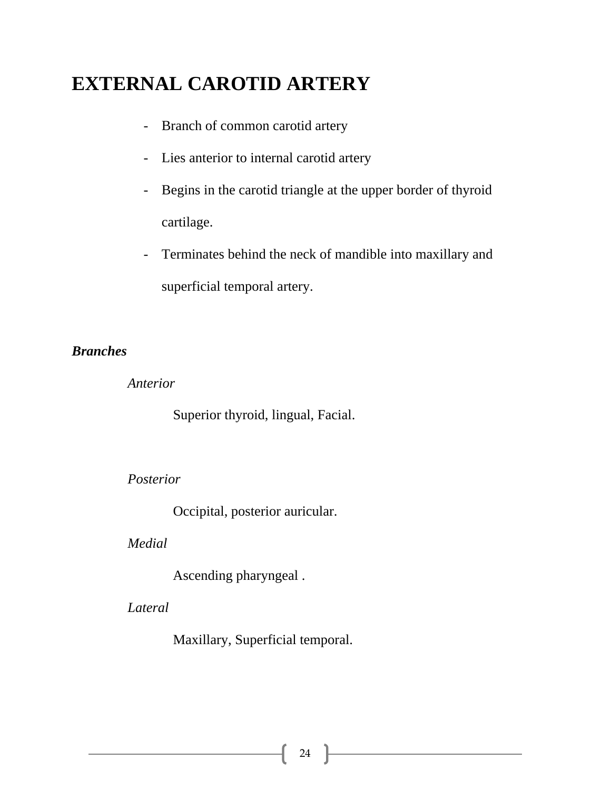# **EXTERNAL CAROTID ARTERY**

- Branch of common carotid artery
- Lies anterior to internal carotid artery
- Begins in the carotid triangle at the upper border of thyroid cartilage.
- Terminates behind the neck of mandible into maxillary and superficial temporal artery.

## *Branches*

 *Anterior* 

Superior thyroid, lingual, Facial.

### *Posterior*

Occipital, posterior auricular.

#### *Medial*

Ascending pharyngeal .

*Lateral* 

Maxillary, Superficial temporal.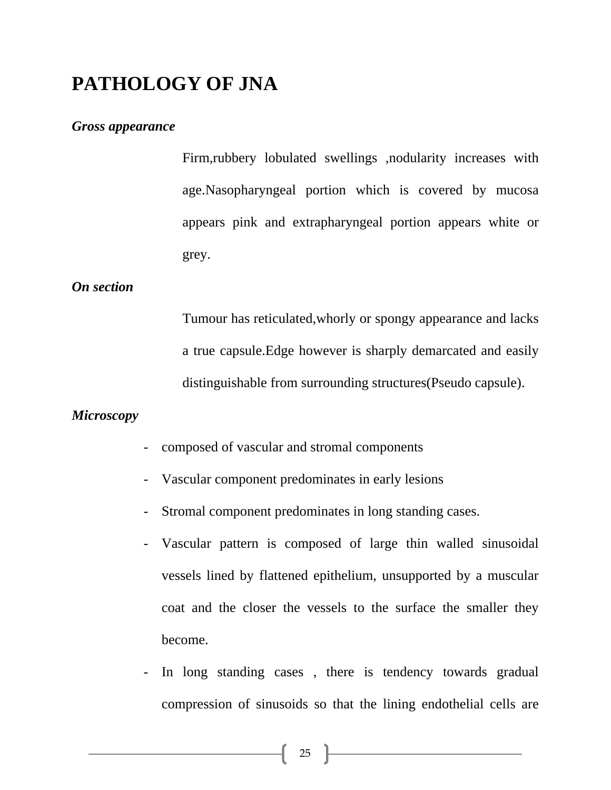# **PATHOLOGY OF JNA**

#### *Gross appearance*

Firm,rubbery lobulated swellings ,nodularity increases with age.Nasopharyngeal portion which is covered by mucosa appears pink and extrapharyngeal portion appears white or grey.

### *On section*

Tumour has reticulated,whorly or spongy appearance and lacks a true capsule.Edge however is sharply demarcated and easily distinguishable from surrounding structures(Pseudo capsule).

### *Microscopy*

- composed of vascular and stromal components
- Vascular component predominates in early lesions
- Stromal component predominates in long standing cases.
- Vascular pattern is composed of large thin walled sinusoidal vessels lined by flattened epithelium, unsupported by a muscular coat and the closer the vessels to the surface the smaller they become.
- In long standing cases , there is tendency towards gradual compression of sinusoids so that the lining endothelial cells are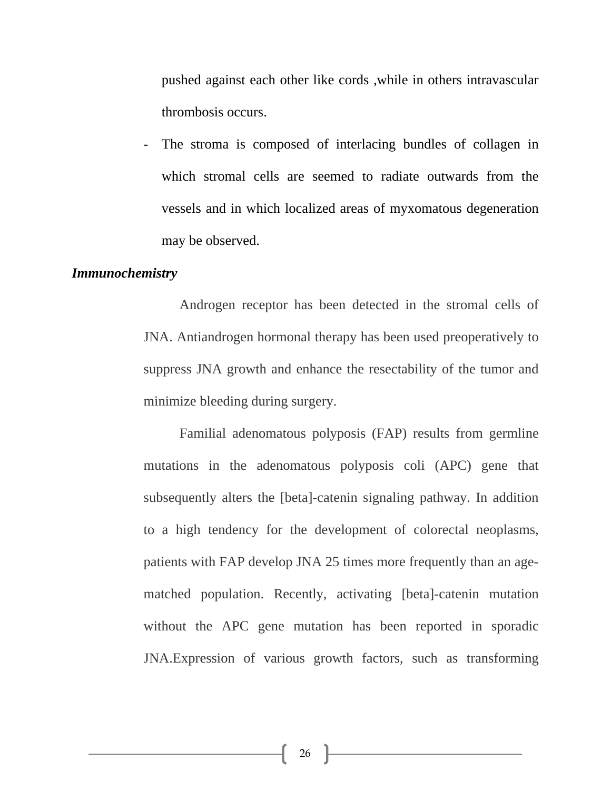pushed against each other like cords ,while in others intravascular thrombosis occurs.

The stroma is composed of interlacing bundles of collagen in which stromal cells are seemed to radiate outwards from the vessels and in which localized areas of myxomatous degeneration may be observed.

#### *Immunochemistry*

Androgen receptor has been detected in the stromal cells of JNA. Antiandrogen hormonal therapy has been used preoperatively to suppress JNA growth and enhance the resectability of the tumor and minimize bleeding during surgery.

Familial adenomatous polyposis (FAP) results from germline mutations in the adenomatous polyposis coli (APC) gene that subsequently alters the [beta]-catenin signaling pathway. In addition to a high tendency for the development of colorectal neoplasms, patients with FAP develop JNA 25 times more frequently than an agematched population. Recently, activating [beta]-catenin mutation without the APC gene mutation has been reported in sporadic JNA.Expression of various growth factors, such as transforming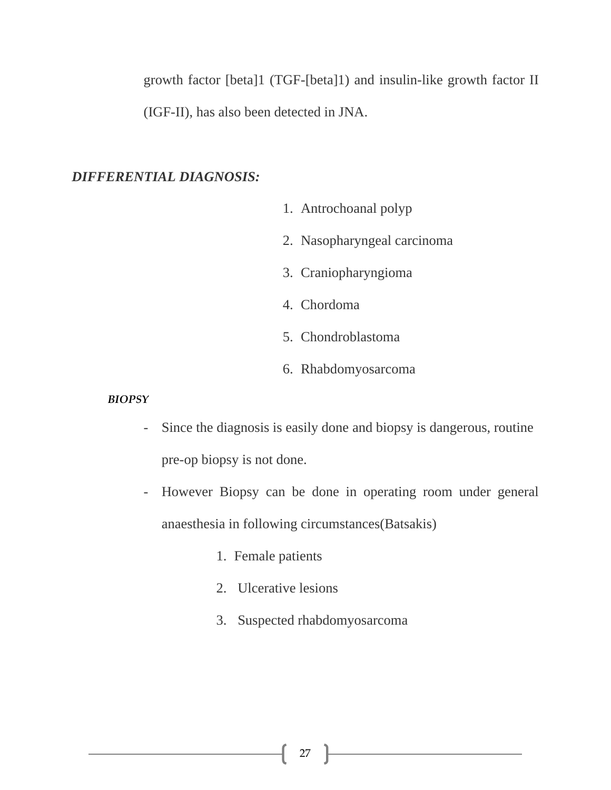growth factor [beta]1 (TGF-[beta]1) and insulin-like growth factor II (IGF-II), has also been detected in JNA.

## *DIFFERENTIAL DIAGNOSIS:*

- 1. Antrochoanal polyp
- 2. Nasopharyngeal carcinoma
- 3. Craniopharyngioma
- 4. Chordoma
- 5. Chondroblastoma
- 6. Rhabdomyosarcoma

#### *BIOPSY*

- Since the diagnosis is easily done and biopsy is dangerous, routine pre-op biopsy is not done.
- However Biopsy can be done in operating room under general anaesthesia in following circumstances(Batsakis)
	- 1. Female patients
	- 2. Ulcerative lesions
	- 3. Suspected rhabdomyosarcoma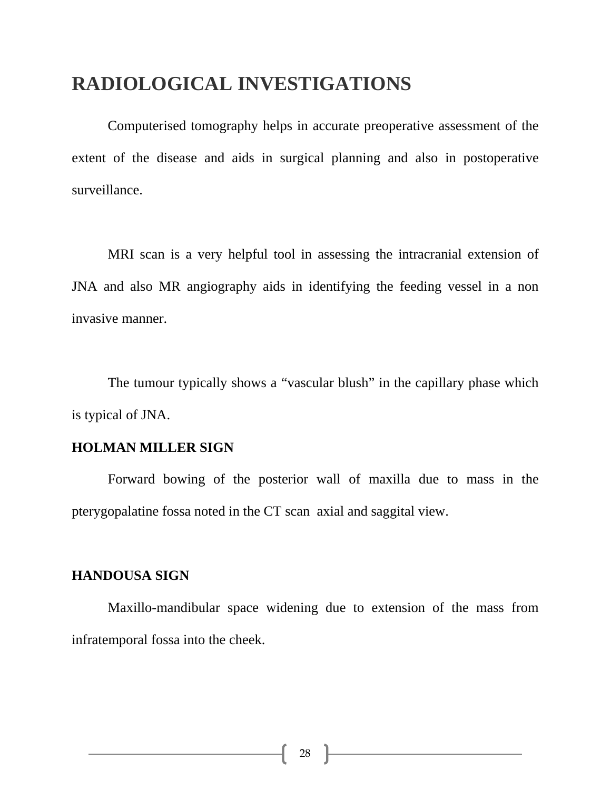# **RADIOLOGICAL INVESTIGATIONS**

Computerised tomography helps in accurate preoperative assessment of the extent of the disease and aids in surgical planning and also in postoperative surveillance.

MRI scan is a very helpful tool in assessing the intracranial extension of JNA and also MR angiography aids in identifying the feeding vessel in a non invasive manner.

The tumour typically shows a "vascular blush" in the capillary phase which is typical of JNA.

## **HOLMAN MILLER SIGN**

 Forward bowing of the posterior wall of maxilla due to mass in the pterygopalatine fossa noted in the CT scan axial and saggital view.

#### **HANDOUSA SIGN**

Maxillo-mandibular space widening due to extension of the mass from infratemporal fossa into the cheek.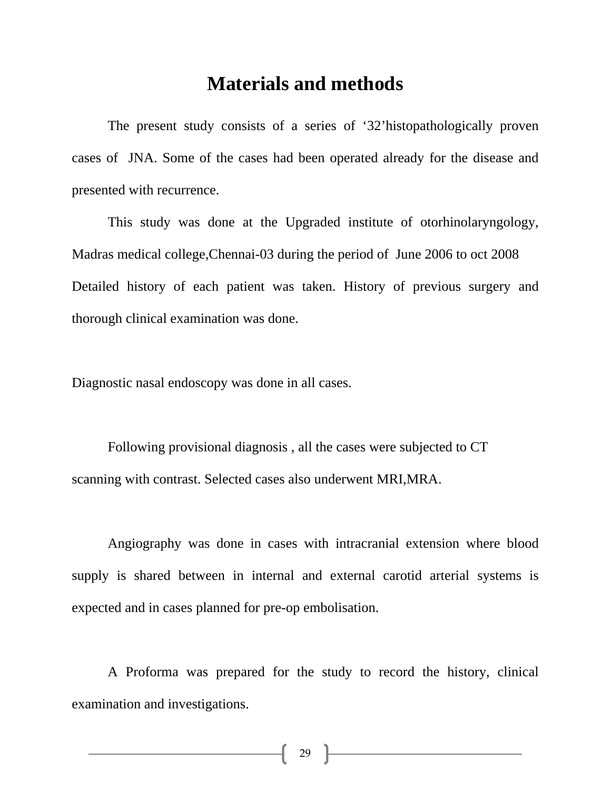# **Materials and methods**

The present study consists of a series of '32'histopathologically proven cases of JNA. Some of the cases had been operated already for the disease and presented with recurrence.

This study was done at the Upgraded institute of otorhinolaryngology, Madras medical college,Chennai-03 during the period of June 2006 to oct 2008 Detailed history of each patient was taken. History of previous surgery and thorough clinical examination was done.

Diagnostic nasal endoscopy was done in all cases.

Following provisional diagnosis , all the cases were subjected to CT scanning with contrast. Selected cases also underwent MRI,MRA.

Angiography was done in cases with intracranial extension where blood supply is shared between in internal and external carotid arterial systems is expected and in cases planned for pre-op embolisation.

A Proforma was prepared for the study to record the history, clinical examination and investigations.

29 }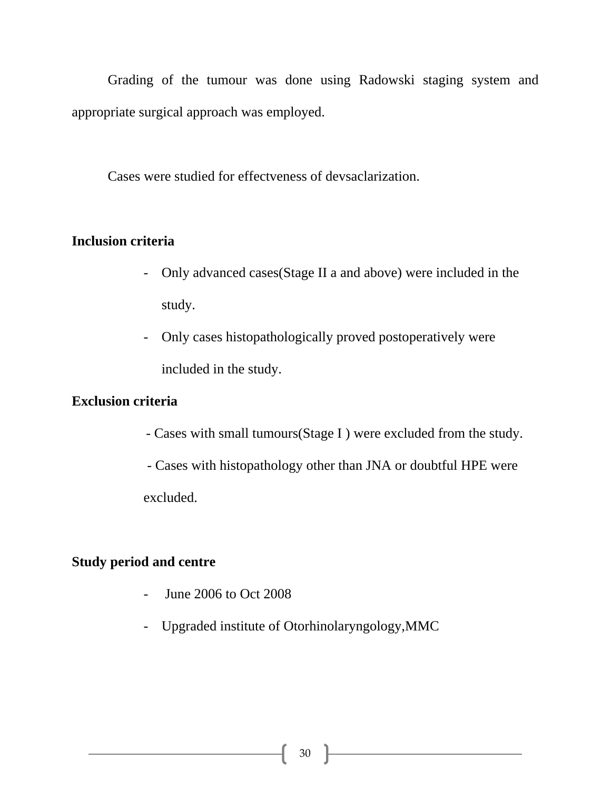Grading of the tumour was done using Radowski staging system and appropriate surgical approach was employed.

Cases were studied for effectveness of devsaclarization.

#### **Inclusion criteria**

- Only advanced cases(Stage II a and above) were included in the study.
- Only cases histopathologically proved postoperatively were included in the study.

#### **Exclusion criteria**

- Cases with small tumours(Stage I ) were excluded from the study.
- Cases with histopathology other than JNA or doubtful HPE were excluded.

#### **Study period and centre**

- June 2006 to Oct 2008
- Upgraded institute of Otorhinolaryngology,MMC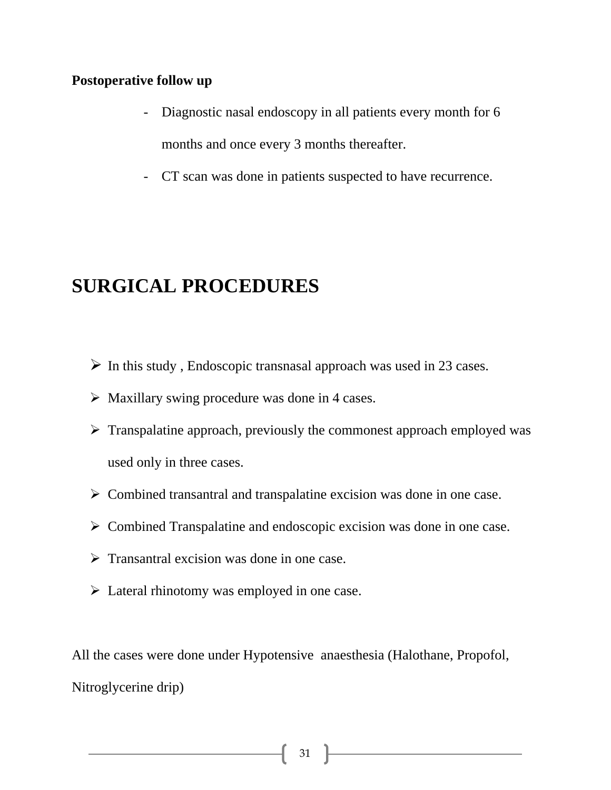#### **Postoperative follow up**

- Diagnostic nasal endoscopy in all patients every month for 6 months and once every 3 months thereafter.
- CT scan was done in patients suspected to have recurrence.

## **SURGICAL PROCEDURES**

- $\triangleright$  In this study, Endoscopic transnasal approach was used in 23 cases.
- $\triangleright$  Maxillary swing procedure was done in 4 cases.
- $\triangleright$  Transpalatine approach, previously the commonest approach employed was used only in three cases.
- $\triangleright$  Combined transantral and transpalatine excision was done in one case.
- $\triangleright$  Combined Transpalatine and endoscopic excision was done in one case.
- $\triangleright$  Transantral excision was done in one case.
- $\triangleright$  Lateral rhinotomy was employed in one case.

All the cases were done under Hypotensive anaesthesia (Halothane, Propofol, Nitroglycerine drip)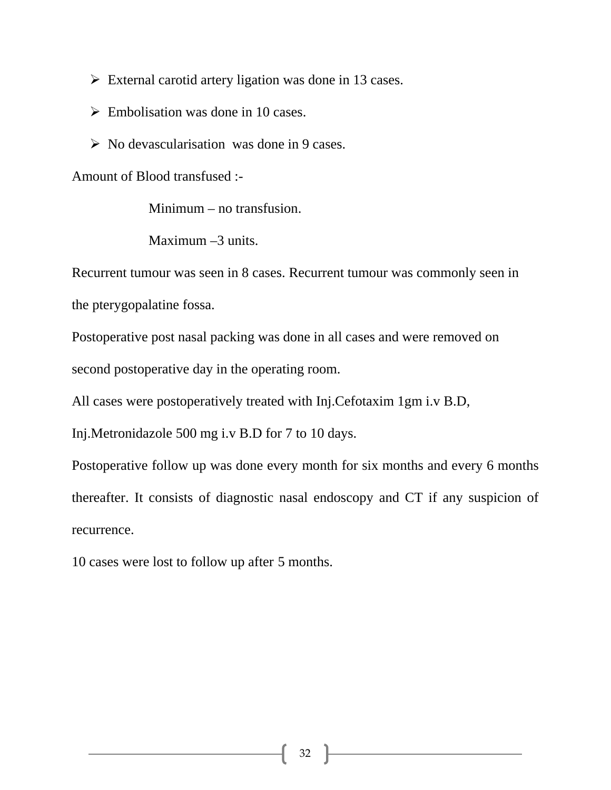- $\triangleright$  External carotid artery ligation was done in 13 cases.
- $\triangleright$  Embolisation was done in 10 cases.
- $\triangleright$  No devascularisation was done in 9 cases.

Amount of Blood transfused :-

Minimum – no transfusion.

Maximum –3 units.

Recurrent tumour was seen in 8 cases. Recurrent tumour was commonly seen in the pterygopalatine fossa.

Postoperative post nasal packing was done in all cases and were removed on second postoperative day in the operating room.

All cases were postoperatively treated with Inj.Cefotaxim 1gm i.v B.D,

Inj.Metronidazole 500 mg i.v B.D for 7 to 10 days.

Postoperative follow up was done every month for six months and every 6 months thereafter. It consists of diagnostic nasal endoscopy and CT if any suspicion of recurrence.

10 cases were lost to follow up after 5 months.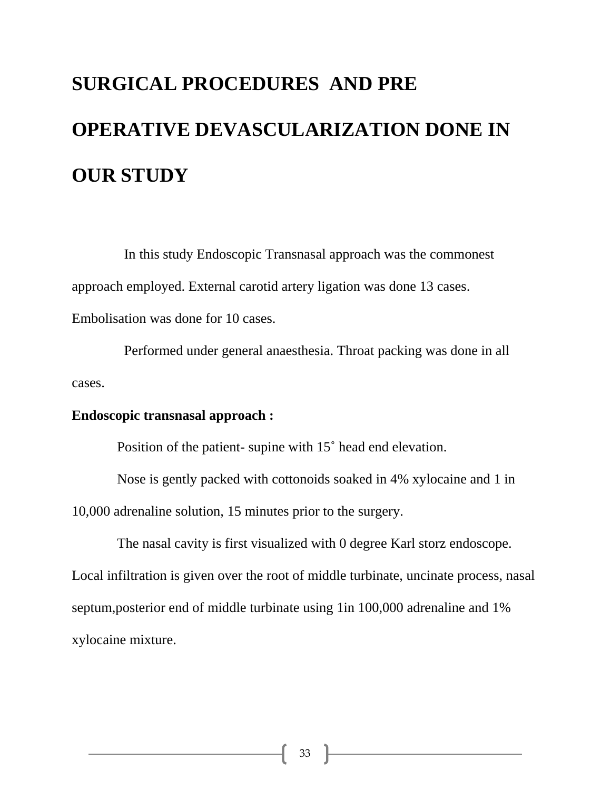# **SURGICAL PROCEDURES AND PRE OPERATIVE DEVASCULARIZATION DONE IN OUR STUDY**

 In this study Endoscopic Transnasal approach was the commonest approach employed. External carotid artery ligation was done 13 cases. Embolisation was done for 10 cases.

 Performed under general anaesthesia. Throat packing was done in all cases.

#### **Endoscopic transnasal approach :**

Position of the patient- supine with 15˚ head end elevation.

Nose is gently packed with cottonoids soaked in 4% xylocaine and 1 in

10,000 adrenaline solution, 15 minutes prior to the surgery.

 The nasal cavity is first visualized with 0 degree Karl storz endoscope. Local infiltration is given over the root of middle turbinate, uncinate process, nasal septum,posterior end of middle turbinate using 1in 100,000 adrenaline and 1% xylocaine mixture.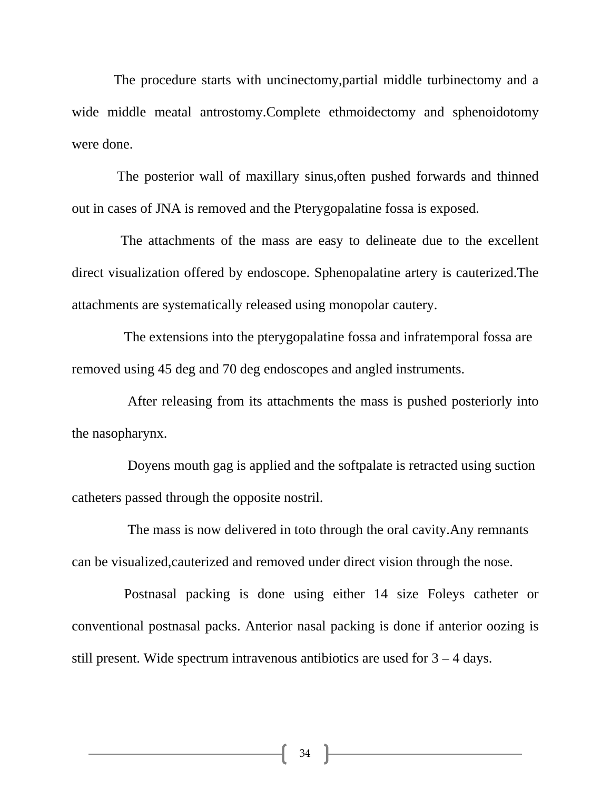The procedure starts with uncinectomy,partial middle turbinectomy and a wide middle meatal antrostomy.Complete ethmoidectomy and sphenoidotomy were done.

 The posterior wall of maxillary sinus,often pushed forwards and thinned out in cases of JNA is removed and the Pterygopalatine fossa is exposed.

 The attachments of the mass are easy to delineate due to the excellent direct visualization offered by endoscope. Sphenopalatine artery is cauterized.The attachments are systematically released using monopolar cautery.

 The extensions into the pterygopalatine fossa and infratemporal fossa are removed using 45 deg and 70 deg endoscopes and angled instruments.

 After releasing from its attachments the mass is pushed posteriorly into the nasopharynx.

 Doyens mouth gag is applied and the softpalate is retracted using suction catheters passed through the opposite nostril.

 The mass is now delivered in toto through the oral cavity.Any remnants can be visualized,cauterized and removed under direct vision through the nose.

 Postnasal packing is done using either 14 size Foleys catheter or conventional postnasal packs. Anterior nasal packing is done if anterior oozing is still present. Wide spectrum intravenous antibiotics are used for 3 – 4 days.

34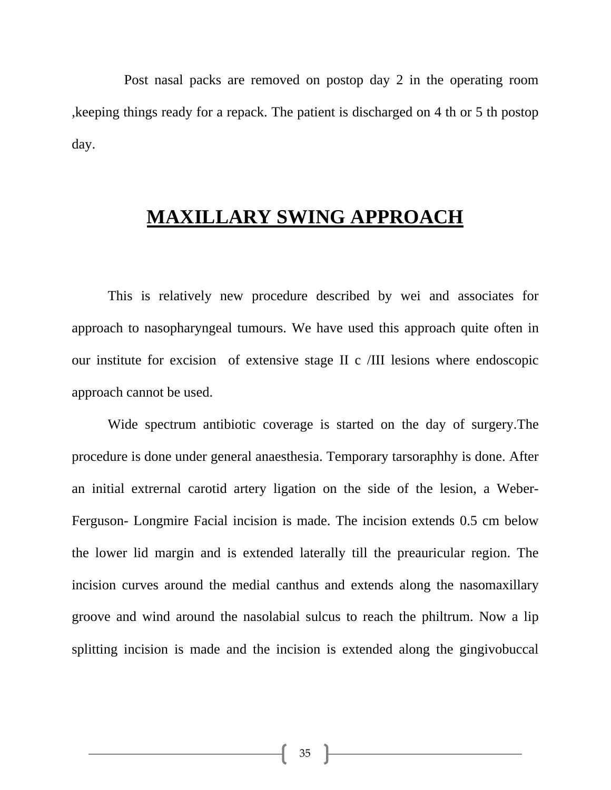Post nasal packs are removed on postop day 2 in the operating room ,keeping things ready for a repack. The patient is discharged on 4 th or 5 th postop day.

#### **MAXILLARY SWING APPROACH**

This is relatively new procedure described by wei and associates for approach to nasopharyngeal tumours. We have used this approach quite often in our institute for excision of extensive stage II c /III lesions where endoscopic approach cannot be used.

 Wide spectrum antibiotic coverage is started on the day of surgery.The procedure is done under general anaesthesia. Temporary tarsoraphhy is done. After an initial extrernal carotid artery ligation on the side of the lesion, a Weber-Ferguson- Longmire Facial incision is made. The incision extends 0.5 cm below the lower lid margin and is extended laterally till the preauricular region. The incision curves around the medial canthus and extends along the nasomaxillary groove and wind around the nasolabial sulcus to reach the philtrum. Now a lip splitting incision is made and the incision is extended along the gingivobuccal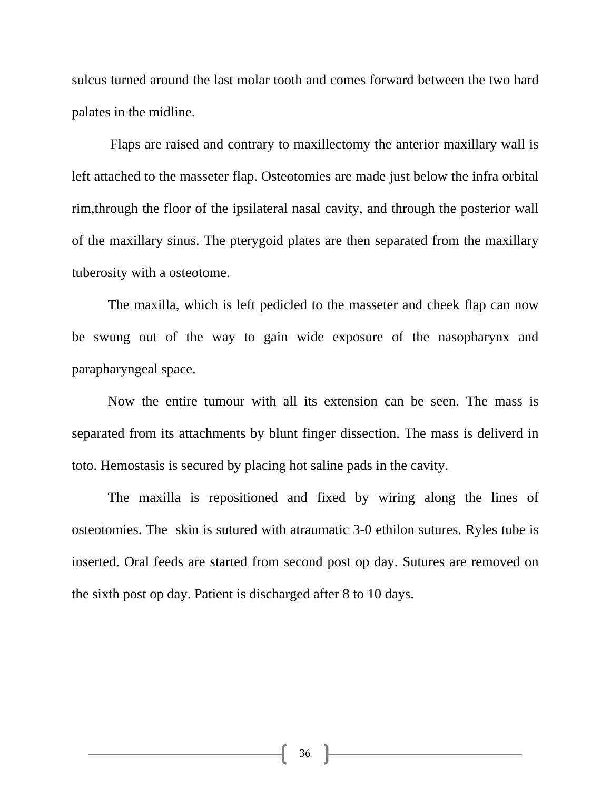sulcus turned around the last molar tooth and comes forward between the two hard palates in the midline.

 Flaps are raised and contrary to maxillectomy the anterior maxillary wall is left attached to the masseter flap. Osteotomies are made just below the infra orbital rim,through the floor of the ipsilateral nasal cavity, and through the posterior wall of the maxillary sinus. The pterygoid plates are then separated from the maxillary tuberosity with a osteotome.

 The maxilla, which is left pedicled to the masseter and cheek flap can now be swung out of the way to gain wide exposure of the nasopharynx and parapharyngeal space.

 Now the entire tumour with all its extension can be seen. The mass is separated from its attachments by blunt finger dissection. The mass is deliverd in toto. Hemostasis is secured by placing hot saline pads in the cavity.

 The maxilla is repositioned and fixed by wiring along the lines of osteotomies. The skin is sutured with atraumatic 3-0 ethilon sutures. Ryles tube is inserted. Oral feeds are started from second post op day. Sutures are removed on the sixth post op day. Patient is discharged after 8 to 10 days.

36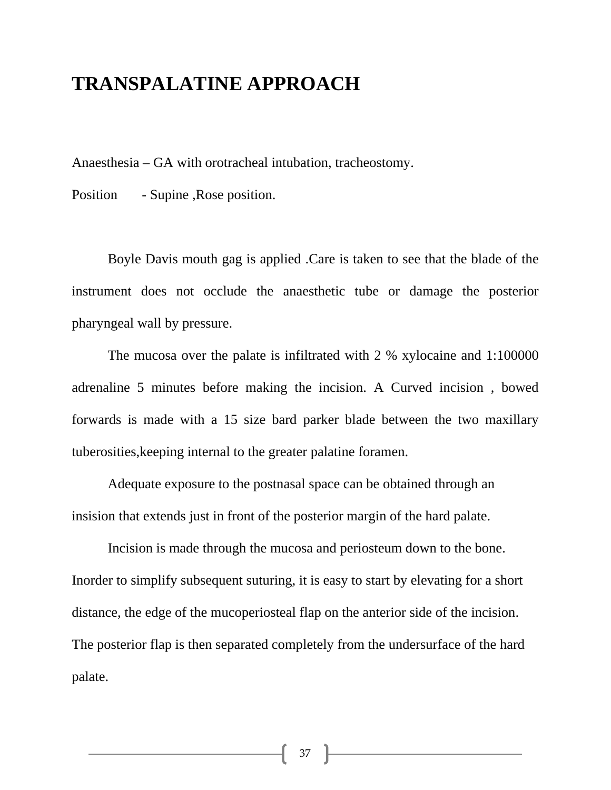#### **TRANSPALATINE APPROACH**

Anaesthesia – GA with orotracheal intubation, tracheostomy.

Position - Supine , Rose position.

 Boyle Davis mouth gag is applied .Care is taken to see that the blade of the instrument does not occlude the anaesthetic tube or damage the posterior pharyngeal wall by pressure.

 The mucosa over the palate is infiltrated with 2 % xylocaine and 1:100000 adrenaline 5 minutes before making the incision. A Curved incision , bowed forwards is made with a 15 size bard parker blade between the two maxillary tuberosities,keeping internal to the greater palatine foramen.

Adequate exposure to the postnasal space can be obtained through an insision that extends just in front of the posterior margin of the hard palate.

 Incision is made through the mucosa and periosteum down to the bone. Inorder to simplify subsequent suturing, it is easy to start by elevating for a short distance, the edge of the mucoperiosteal flap on the anterior side of the incision. The posterior flap is then separated completely from the undersurface of the hard palate.

37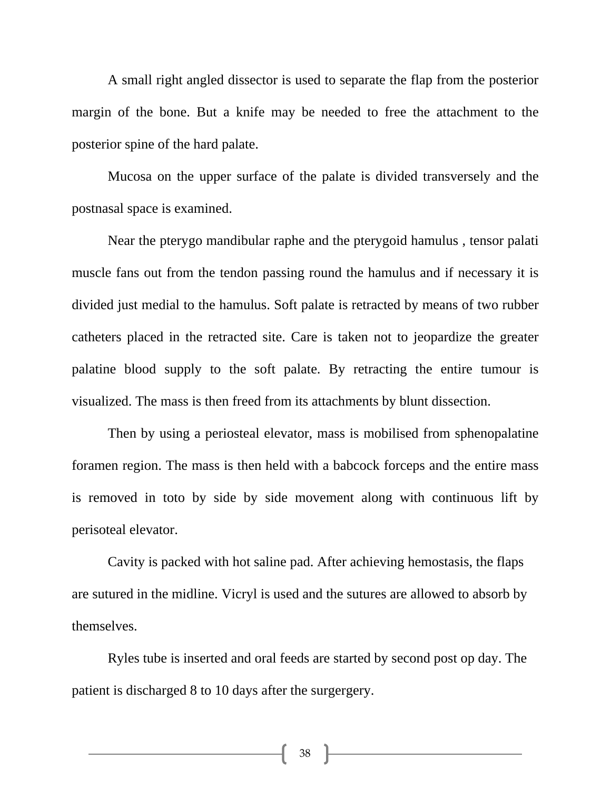A small right angled dissector is used to separate the flap from the posterior margin of the bone. But a knife may be needed to free the attachment to the posterior spine of the hard palate.

 Mucosa on the upper surface of the palate is divided transversely and the postnasal space is examined.

 Near the pterygo mandibular raphe and the pterygoid hamulus , tensor palati muscle fans out from the tendon passing round the hamulus and if necessary it is divided just medial to the hamulus. Soft palate is retracted by means of two rubber catheters placed in the retracted site. Care is taken not to jeopardize the greater palatine blood supply to the soft palate. By retracting the entire tumour is visualized. The mass is then freed from its attachments by blunt dissection.

 Then by using a periosteal elevator, mass is mobilised from sphenopalatine foramen region. The mass is then held with a babcock forceps and the entire mass is removed in toto by side by side movement along with continuous lift by perisoteal elevator.

 Cavity is packed with hot saline pad. After achieving hemostasis, the flaps are sutured in the midline. Vicryl is used and the sutures are allowed to absorb by themselves.

 Ryles tube is inserted and oral feeds are started by second post op day. The patient is discharged 8 to 10 days after the surgergery.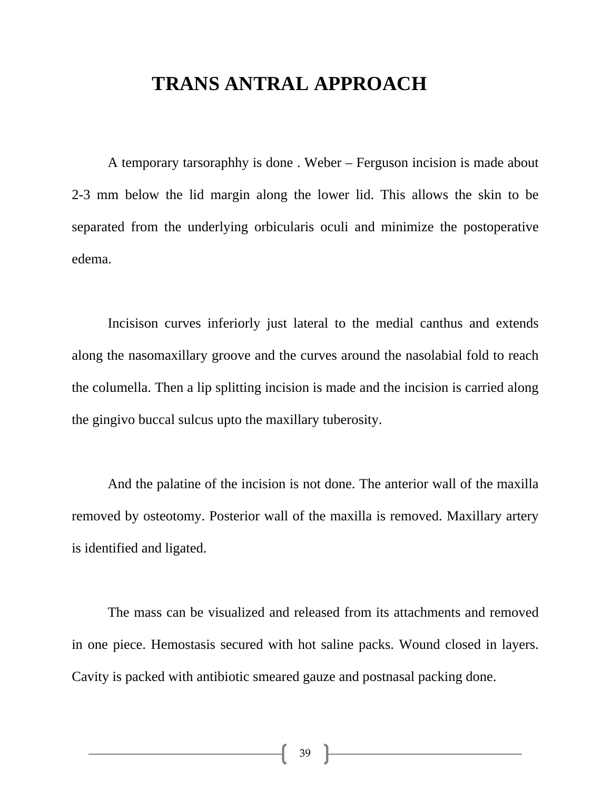#### **TRANS ANTRAL APPROACH**

A temporary tarsoraphhy is done . Weber – Ferguson incision is made about 2-3 mm below the lid margin along the lower lid. This allows the skin to be separated from the underlying orbicularis oculi and minimize the postoperative edema.

Incisison curves inferiorly just lateral to the medial canthus and extends along the nasomaxillary groove and the curves around the nasolabial fold to reach the columella. Then a lip splitting incision is made and the incision is carried along the gingivo buccal sulcus upto the maxillary tuberosity.

And the palatine of the incision is not done. The anterior wall of the maxilla removed by osteotomy. Posterior wall of the maxilla is removed. Maxillary artery is identified and ligated.

The mass can be visualized and released from its attachments and removed in one piece. Hemostasis secured with hot saline packs. Wound closed in layers. Cavity is packed with antibiotic smeared gauze and postnasal packing done.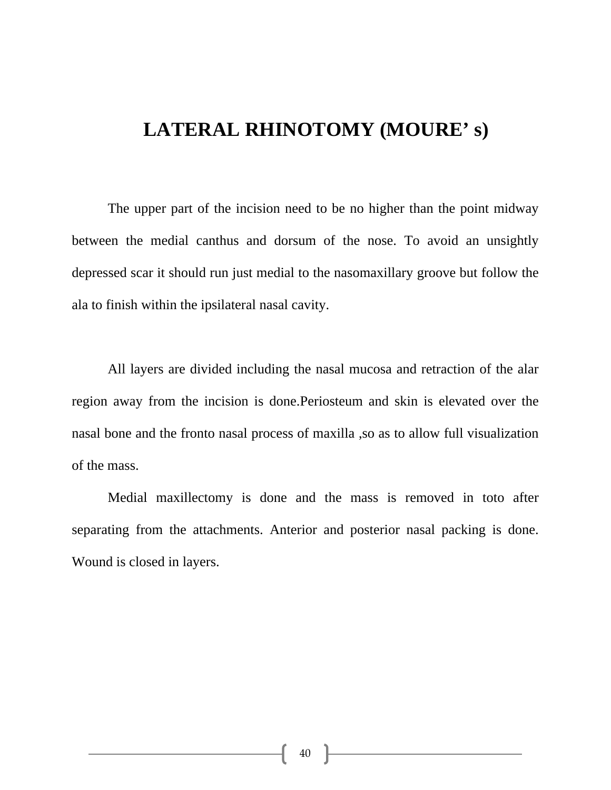## **LATERAL RHINOTOMY (MOURE' s)**

 The upper part of the incision need to be no higher than the point midway between the medial canthus and dorsum of the nose. To avoid an unsightly depressed scar it should run just medial to the nasomaxillary groove but follow the ala to finish within the ipsilateral nasal cavity.

All layers are divided including the nasal mucosa and retraction of the alar region away from the incision is done.Periosteum and skin is elevated over the nasal bone and the fronto nasal process of maxilla ,so as to allow full visualization of the mass.

 Medial maxillectomy is done and the mass is removed in toto after separating from the attachments. Anterior and posterior nasal packing is done. Wound is closed in layers.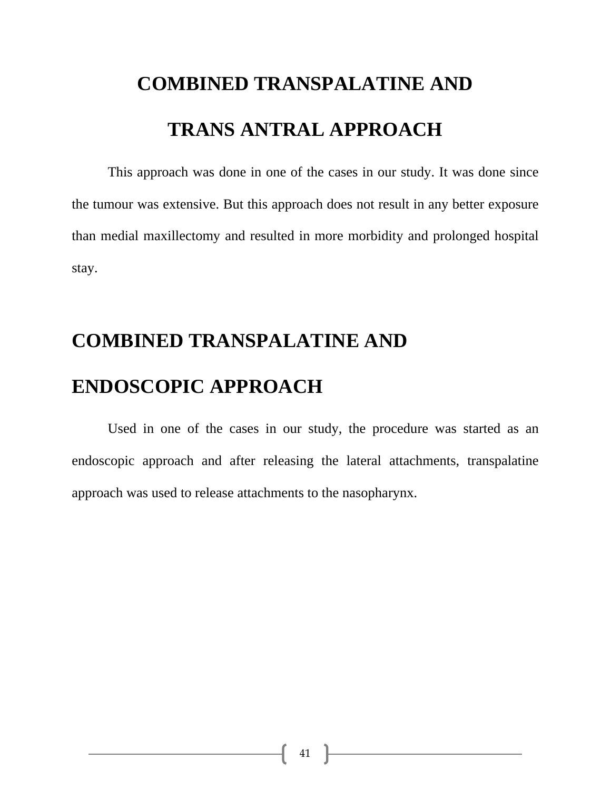# **COMBINED TRANSPALATINE AND TRANS ANTRAL APPROACH**

 This approach was done in one of the cases in our study. It was done since the tumour was extensive. But this approach does not result in any better exposure than medial maxillectomy and resulted in more morbidity and prolonged hospital stay.

# **COMBINED TRANSPALATINE AND ENDOSCOPIC APPROACH**

 Used in one of the cases in our study, the procedure was started as an endoscopic approach and after releasing the lateral attachments, transpalatine approach was used to release attachments to the nasopharynx.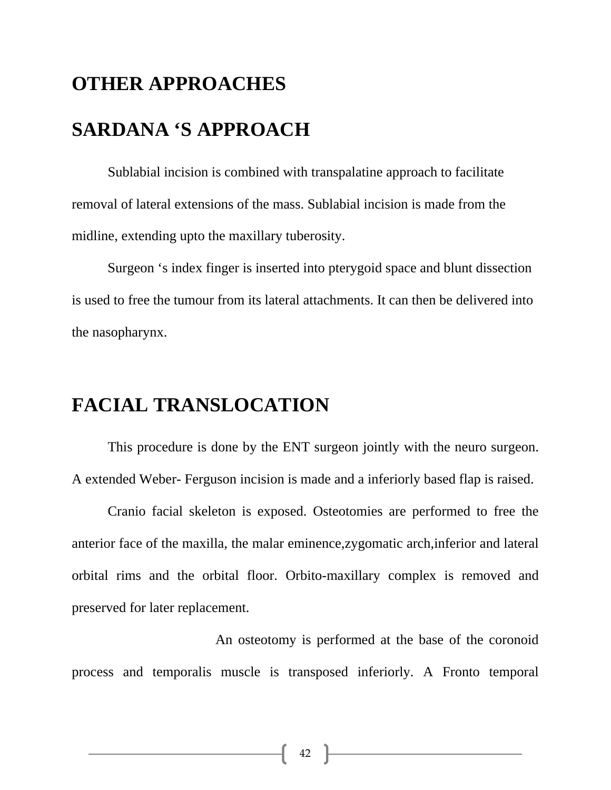# **OTHER APPROACHES SARDANA 'S APPROACH**

Sublabial incision is combined with transpalatine approach to facilitate removal of lateral extensions of the mass. Sublabial incision is made from the midline, extending upto the maxillary tuberosity.

 Surgeon 's index finger is inserted into pterygoid space and blunt dissection is used to free the tumour from its lateral attachments. It can then be delivered into the nasopharynx.

## **FACIAL TRANSLOCATION**

 This procedure is done by the ENT surgeon jointly with the neuro surgeon. A extended Weber- Ferguson incision is made and a inferiorly based flap is raised.

 Cranio facial skeleton is exposed. Osteotomies are performed to free the anterior face of the maxilla, the malar eminence,zygomatic arch,inferior and lateral orbital rims and the orbital floor. Orbito-maxillary complex is removed and preserved for later replacement.

 An osteotomy is performed at the base of the coronoid process and temporalis muscle is transposed inferiorly. A Fronto temporal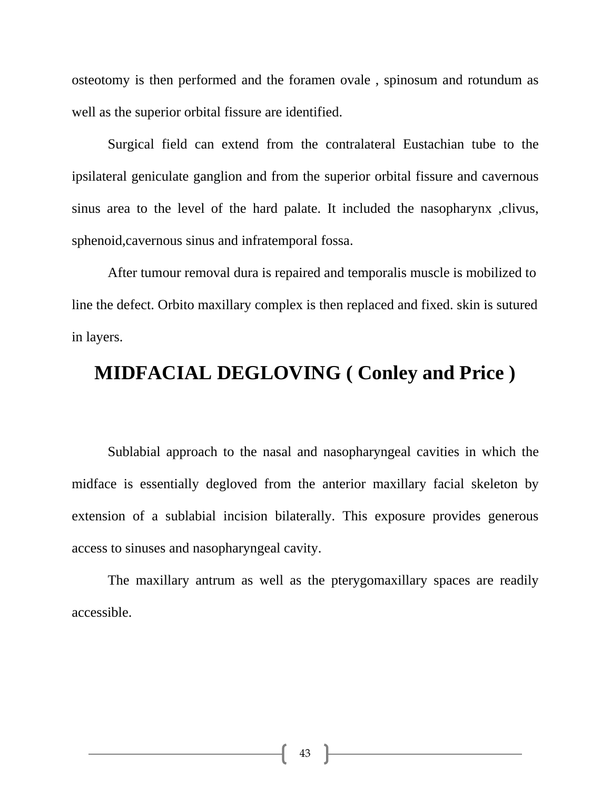osteotomy is then performed and the foramen ovale , spinosum and rotundum as well as the superior orbital fissure are identified.

 Surgical field can extend from the contralateral Eustachian tube to the ipsilateral geniculate ganglion and from the superior orbital fissure and cavernous sinus area to the level of the hard palate. It included the nasopharynx ,clivus, sphenoid,cavernous sinus and infratemporal fossa.

 After tumour removal dura is repaired and temporalis muscle is mobilized to line the defect. Orbito maxillary complex is then replaced and fixed. skin is sutured in layers.

#### **MIDFACIAL DEGLOVING ( Conley and Price )**

 Sublabial approach to the nasal and nasopharyngeal cavities in which the midface is essentially degloved from the anterior maxillary facial skeleton by extension of a sublabial incision bilaterally. This exposure provides generous access to sinuses and nasopharyngeal cavity.

The maxillary antrum as well as the pterygomaxillary spaces are readily accessible.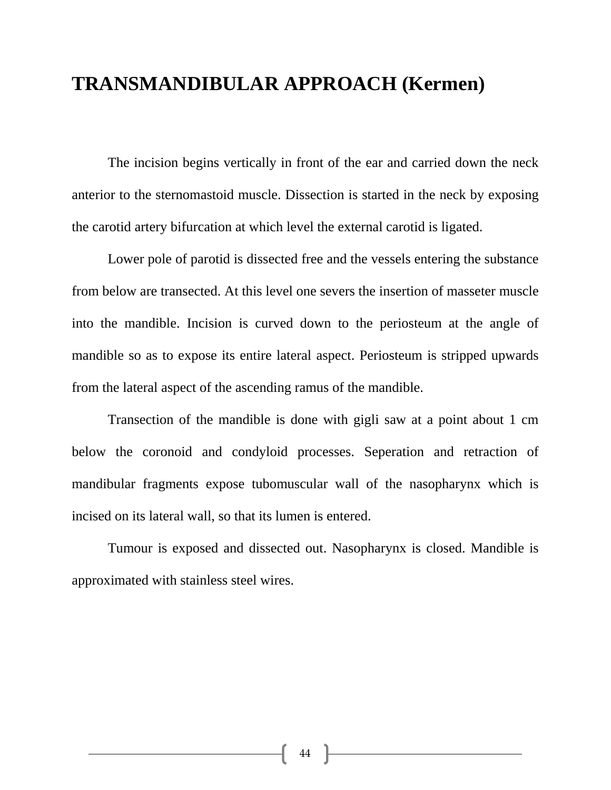### **TRANSMANDIBULAR APPROACH (Kermen)**

The incision begins vertically in front of the ear and carried down the neck anterior to the sternomastoid muscle. Dissection is started in the neck by exposing the carotid artery bifurcation at which level the external carotid is ligated.

Lower pole of parotid is dissected free and the vessels entering the substance from below are transected. At this level one severs the insertion of masseter muscle into the mandible. Incision is curved down to the periosteum at the angle of mandible so as to expose its entire lateral aspect. Periosteum is stripped upwards from the lateral aspect of the ascending ramus of the mandible.

 Transection of the mandible is done with gigli saw at a point about 1 cm below the coronoid and condyloid processes. Seperation and retraction of mandibular fragments expose tubomuscular wall of the nasopharynx which is incised on its lateral wall, so that its lumen is entered.

 Tumour is exposed and dissected out. Nasopharynx is closed. Mandible is approximated with stainless steel wires.

44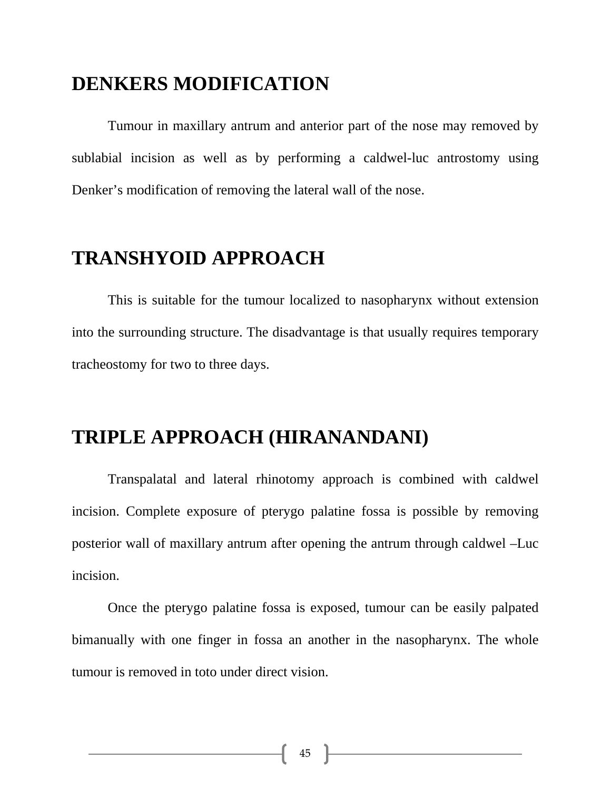#### **DENKERS MODIFICATION**

Tumour in maxillary antrum and anterior part of the nose may removed by sublabial incision as well as by performing a caldwel-luc antrostomy using Denker's modification of removing the lateral wall of the nose.

## **TRANSHYOID APPROACH**

This is suitable for the tumour localized to nasopharynx without extension into the surrounding structure. The disadvantage is that usually requires temporary tracheostomy for two to three days.

## **TRIPLE APPROACH (HIRANANDANI)**

 Transpalatal and lateral rhinotomy approach is combined with caldwel incision. Complete exposure of pterygo palatine fossa is possible by removing posterior wall of maxillary antrum after opening the antrum through caldwel –Luc incision.

 Once the pterygo palatine fossa is exposed, tumour can be easily palpated bimanually with one finger in fossa an another in the nasopharynx. The whole tumour is removed in toto under direct vision.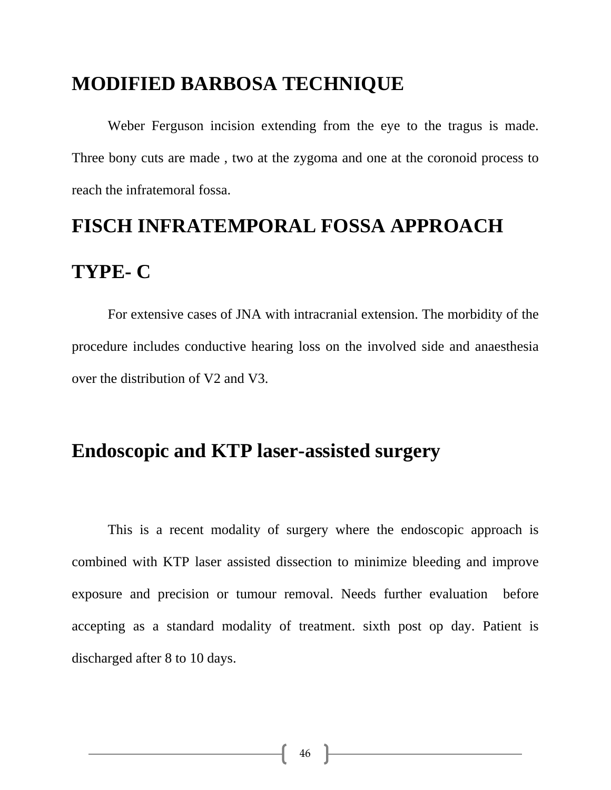#### **MODIFIED BARBOSA TECHNIQUE**

 Weber Ferguson incision extending from the eye to the tragus is made. Three bony cuts are made , two at the zygoma and one at the coronoid process to reach the infratemoral fossa.

# **FISCH INFRATEMPORAL FOSSA APPROACH**

### **TYPE- C**

 For extensive cases of JNA with intracranial extension. The morbidity of the procedure includes conductive hearing loss on the involved side and anaesthesia over the distribution of V2 and V3.

#### **Endoscopic and KTP laser-assisted surgery**

This is a recent modality of surgery where the endoscopic approach is combined with KTP laser assisted dissection to minimize bleeding and improve exposure and precision or tumour removal. Needs further evaluation before accepting as a standard modality of treatment. sixth post op day. Patient is discharged after 8 to 10 days.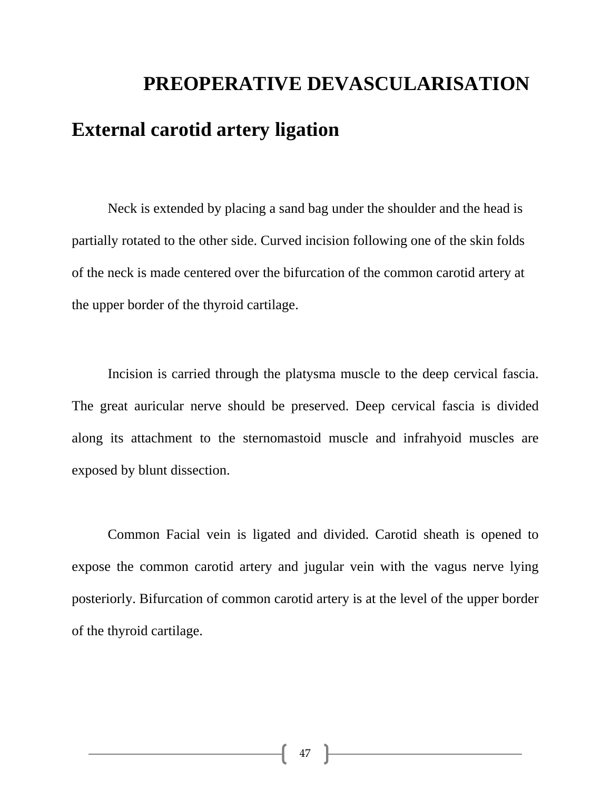# **PREOPERATIVE DEVASCULARISATION External carotid artery ligation**

Neck is extended by placing a sand bag under the shoulder and the head is partially rotated to the other side. Curved incision following one of the skin folds of the neck is made centered over the bifurcation of the common carotid artery at the upper border of the thyroid cartilage.

Incision is carried through the platysma muscle to the deep cervical fascia. The great auricular nerve should be preserved. Deep cervical fascia is divided along its attachment to the sternomastoid muscle and infrahyoid muscles are exposed by blunt dissection.

Common Facial vein is ligated and divided. Carotid sheath is opened to expose the common carotid artery and jugular vein with the vagus nerve lying posteriorly. Bifurcation of common carotid artery is at the level of the upper border of the thyroid cartilage.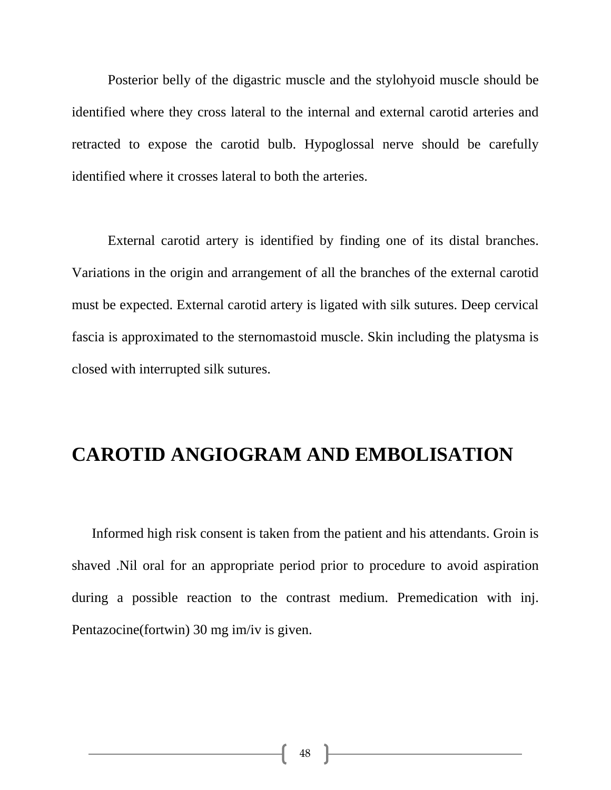Posterior belly of the digastric muscle and the stylohyoid muscle should be identified where they cross lateral to the internal and external carotid arteries and retracted to expose the carotid bulb. Hypoglossal nerve should be carefully identified where it crosses lateral to both the arteries.

 External carotid artery is identified by finding one of its distal branches. Variations in the origin and arrangement of all the branches of the external carotid must be expected. External carotid artery is ligated with silk sutures. Deep cervical fascia is approximated to the sternomastoid muscle. Skin including the platysma is closed with interrupted silk sutures.

#### **CAROTID ANGIOGRAM AND EMBOLISATION**

 Informed high risk consent is taken from the patient and his attendants. Groin is shaved .Nil oral for an appropriate period prior to procedure to avoid aspiration during a possible reaction to the contrast medium. Premedication with inj. Pentazocine(fortwin) 30 mg im/iv is given.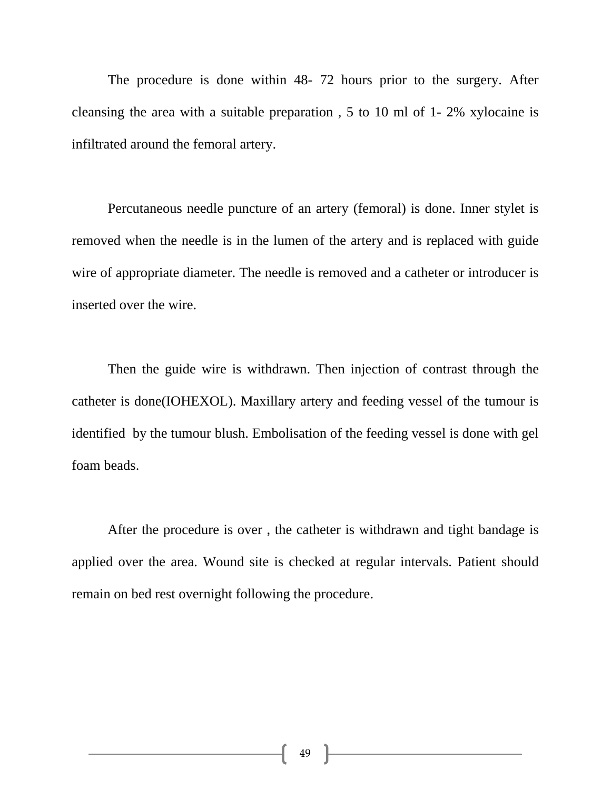The procedure is done within 48- 72 hours prior to the surgery. After cleansing the area with a suitable preparation , 5 to 10 ml of 1- 2% xylocaine is infiltrated around the femoral artery.

 Percutaneous needle puncture of an artery (femoral) is done. Inner stylet is removed when the needle is in the lumen of the artery and is replaced with guide wire of appropriate diameter. The needle is removed and a catheter or introducer is inserted over the wire.

 Then the guide wire is withdrawn. Then injection of contrast through the catheter is done(IOHEXOL). Maxillary artery and feeding vessel of the tumour is identified by the tumour blush. Embolisation of the feeding vessel is done with gel foam beads.

 After the procedure is over , the catheter is withdrawn and tight bandage is applied over the area. Wound site is checked at regular intervals. Patient should remain on bed rest overnight following the procedure.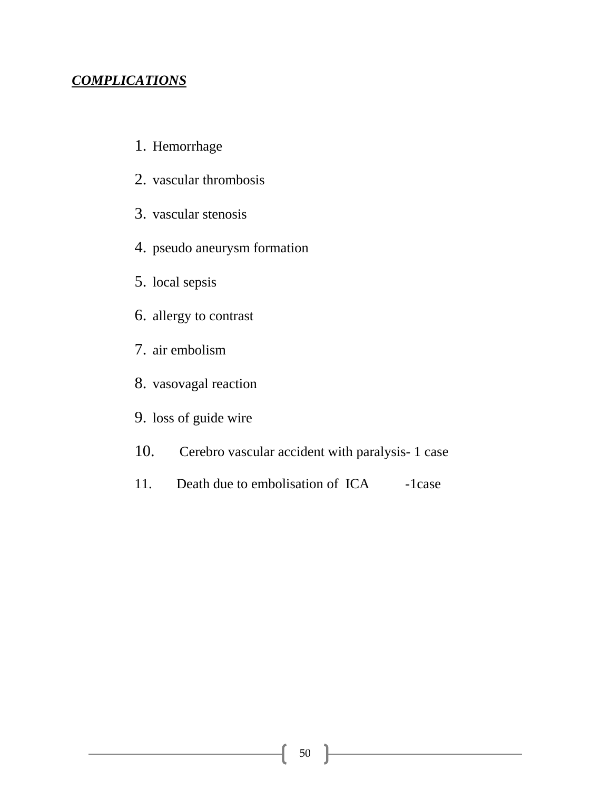#### *COMPLICATIONS*

- 1. Hemorrhage
- 2. vascular thrombosis
- 3. vascular stenosis
- 4. pseudo aneurysm formation
- 5. local sepsis
- 6. allergy to contrast
- 7. air embolism
- 8. vasovagal reaction
- 9. loss of guide wire
- 10. Cerebro vascular accident with paralysis- 1 case
- 11. Death due to embolisation of ICA -1case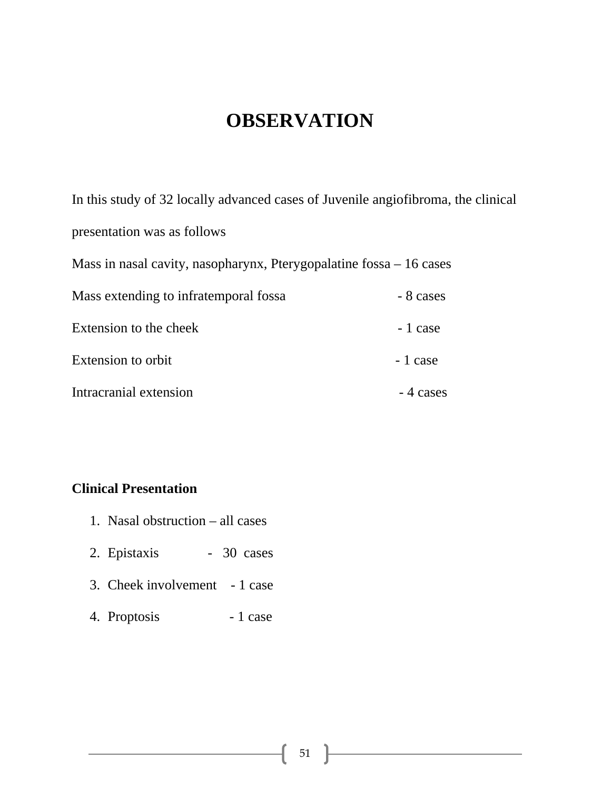## **OBSERVATION**

In this study of 32 locally advanced cases of Juvenile angiofibroma, the clinical presentation was as follows Mass in nasal cavity, nasopharynx, Pterygopalatine fossa – 16 cases Mass extending to infratemporal fossa - 8 cases Extension to the cheek - 1 case Extension to orbit  $-1$  case Intracranial extension and the set of  $\sim$  4 cases

#### **Clinical Presentation**

- 1. Nasal obstruction all cases
- 2. Epistaxis 30 cases
- 3. Cheek involvement 1 case
- 4. Proptosis 1 case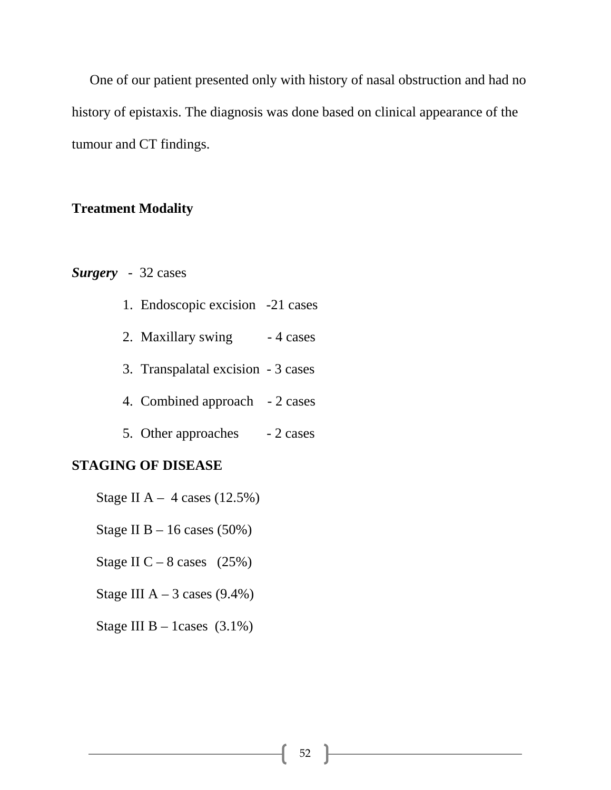One of our patient presented only with history of nasal obstruction and had no history of epistaxis. The diagnosis was done based on clinical appearance of the tumour and CT findings.

#### **Treatment Modality**

#### *Surgery* - 32 cases

|  | 1. Endoscopic excision -21 cases |  |  |
|--|----------------------------------|--|--|
|--|----------------------------------|--|--|

- 2. Maxillary swing  $-4$  cases
- 3. Transpalatal excision 3 cases
- 4. Combined approach 2 cases
- 5. Other approaches 2 cases

#### **STAGING OF DISEASE**

- Stage II A  $4$  cases (12.5%)
- Stage II B  $-16$  cases (50%)
- Stage II C 8 cases  $(25%)$
- Stage III  $A 3$  cases (9.4%)
- Stage III B 1cases  $(3.1\%)$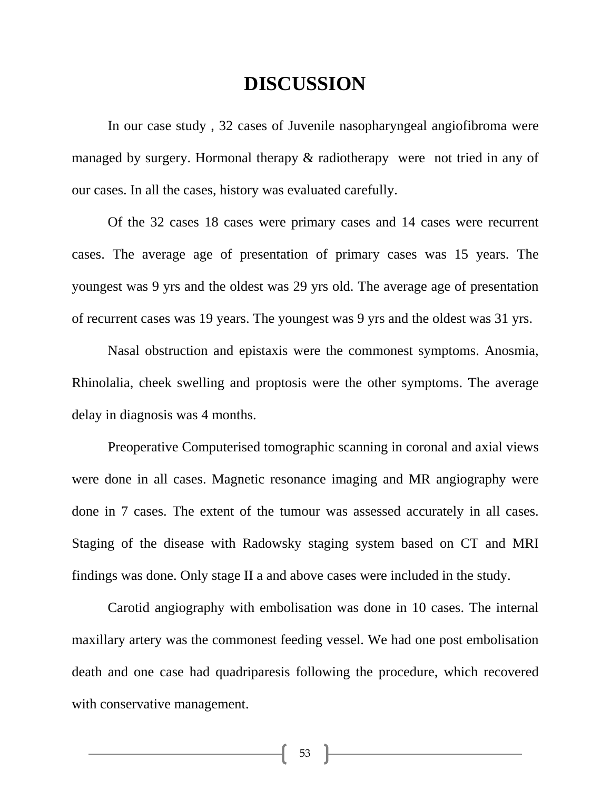#### **DISCUSSION**

In our case study , 32 cases of Juvenile nasopharyngeal angiofibroma were managed by surgery. Hormonal therapy & radiotherapy were not tried in any of our cases. In all the cases, history was evaluated carefully.

Of the 32 cases 18 cases were primary cases and 14 cases were recurrent cases. The average age of presentation of primary cases was 15 years. The youngest was 9 yrs and the oldest was 29 yrs old. The average age of presentation of recurrent cases was 19 years. The youngest was 9 yrs and the oldest was 31 yrs.

Nasal obstruction and epistaxis were the commonest symptoms. Anosmia, Rhinolalia, cheek swelling and proptosis were the other symptoms. The average delay in diagnosis was 4 months.

Preoperative Computerised tomographic scanning in coronal and axial views were done in all cases. Magnetic resonance imaging and MR angiography were done in 7 cases. The extent of the tumour was assessed accurately in all cases. Staging of the disease with Radowsky staging system based on CT and MRI findings was done. Only stage II a and above cases were included in the study.

Carotid angiography with embolisation was done in 10 cases. The internal maxillary artery was the commonest feeding vessel. We had one post embolisation death and one case had quadriparesis following the procedure, which recovered with conservative management.

53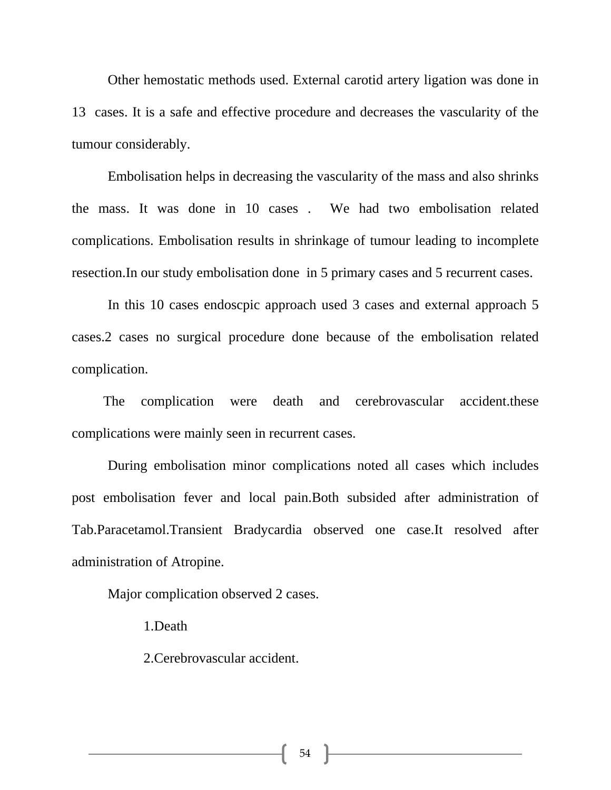Other hemostatic methods used. External carotid artery ligation was done in 13 cases. It is a safe and effective procedure and decreases the vascularity of the tumour considerably.

Embolisation helps in decreasing the vascularity of the mass and also shrinks the mass. It was done in 10 cases . We had two embolisation related complications. Embolisation results in shrinkage of tumour leading to incomplete resection.In our study embolisation done in 5 primary cases and 5 recurrent cases.

In this 10 cases endoscpic approach used 3 cases and external approach 5 cases.2 cases no surgical procedure done because of the embolisation related complication.

 The complication were death and cerebrovascular accident.these complications were mainly seen in recurrent cases.

 During embolisation minor complications noted all cases which includes post embolisation fever and local pain.Both subsided after administration of Tab.Paracetamol.Transient Bradycardia observed one case.It resolved after administration of Atropine.

Major complication observed 2 cases.

1.Death

2.Cerebrovascular accident.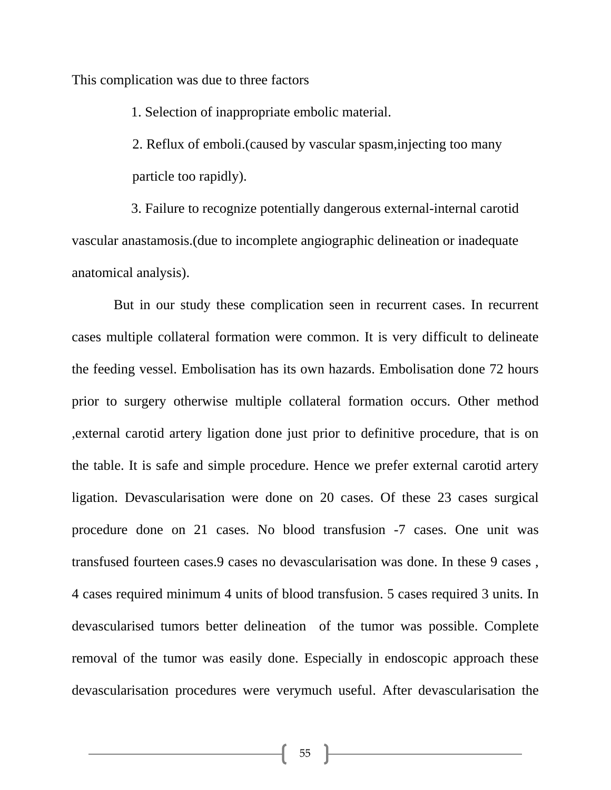This complication was due to three factors

1. Selection of inappropriate embolic material.

2. Reflux of emboli.(caused by vascular spasm,injecting too many particle too rapidly).

3. Failure to recognize potentially dangerous external-internal carotid vascular anastamosis.(due to incomplete angiographic delineation or inadequate anatomical analysis).

 But in our study these complication seen in recurrent cases. In recurrent cases multiple collateral formation were common. It is very difficult to delineate the feeding vessel. Embolisation has its own hazards. Embolisation done 72 hours prior to surgery otherwise multiple collateral formation occurs. Other method ,external carotid artery ligation done just prior to definitive procedure, that is on the table. It is safe and simple procedure. Hence we prefer external carotid artery ligation. Devascularisation were done on 20 cases. Of these 23 cases surgical procedure done on 21 cases. No blood transfusion -7 cases. One unit was transfused fourteen cases.9 cases no devascularisation was done. In these 9 cases , 4 cases required minimum 4 units of blood transfusion. 5 cases required 3 units. In devascularised tumors better delineation of the tumor was possible. Complete removal of the tumor was easily done. Especially in endoscopic approach these devascularisation procedures were verymuch useful. After devascularisation the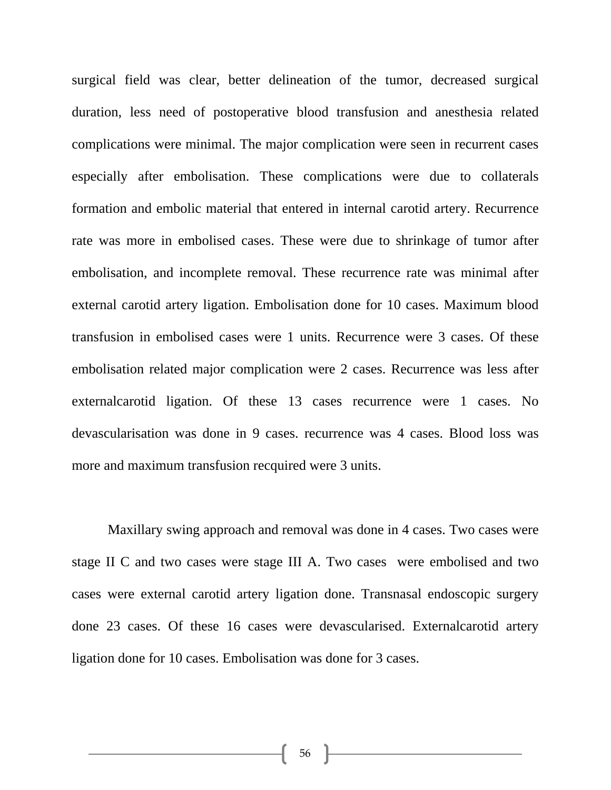surgical field was clear, better delineation of the tumor, decreased surgical duration, less need of postoperative blood transfusion and anesthesia related complications were minimal. The major complication were seen in recurrent cases especially after embolisation. These complications were due to collaterals formation and embolic material that entered in internal carotid artery. Recurrence rate was more in embolised cases. These were due to shrinkage of tumor after embolisation, and incomplete removal. These recurrence rate was minimal after external carotid artery ligation. Embolisation done for 10 cases. Maximum blood transfusion in embolised cases were 1 units. Recurrence were 3 cases. Of these embolisation related major complication were 2 cases. Recurrence was less after externalcarotid ligation. Of these 13 cases recurrence were 1 cases. No devascularisation was done in 9 cases. recurrence was 4 cases. Blood loss was more and maximum transfusion recquired were 3 units.

Maxillary swing approach and removal was done in 4 cases. Two cases were stage II C and two cases were stage III A. Two cases were embolised and two cases were external carotid artery ligation done. Transnasal endoscopic surgery done 23 cases. Of these 16 cases were devascularised. Externalcarotid artery ligation done for 10 cases. Embolisation was done for 3 cases.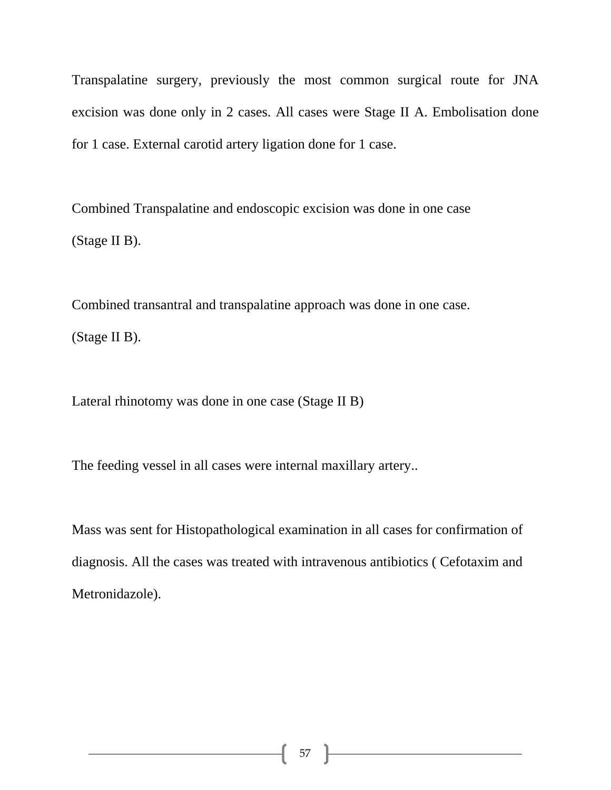Transpalatine surgery, previously the most common surgical route for JNA excision was done only in 2 cases. All cases were Stage II A. Embolisation done for 1 case. External carotid artery ligation done for 1 case.

Combined Transpalatine and endoscopic excision was done in one case (Stage II B).

Combined transantral and transpalatine approach was done in one case. (Stage II B).

Lateral rhinotomy was done in one case (Stage II B)

The feeding vessel in all cases were internal maxillary artery..

Mass was sent for Histopathological examination in all cases for confirmation of diagnosis. All the cases was treated with intravenous antibiotics ( Cefotaxim and Metronidazole).

57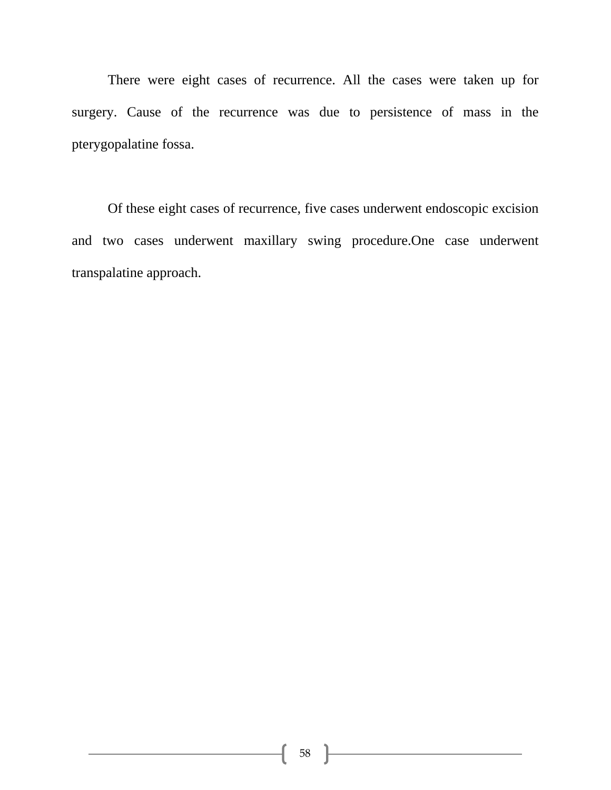There were eight cases of recurrence. All the cases were taken up for surgery. Cause of the recurrence was due to persistence of mass in the pterygopalatine fossa.

Of these eight cases of recurrence, five cases underwent endoscopic excision and two cases underwent maxillary swing procedure.One case underwent transpalatine approach.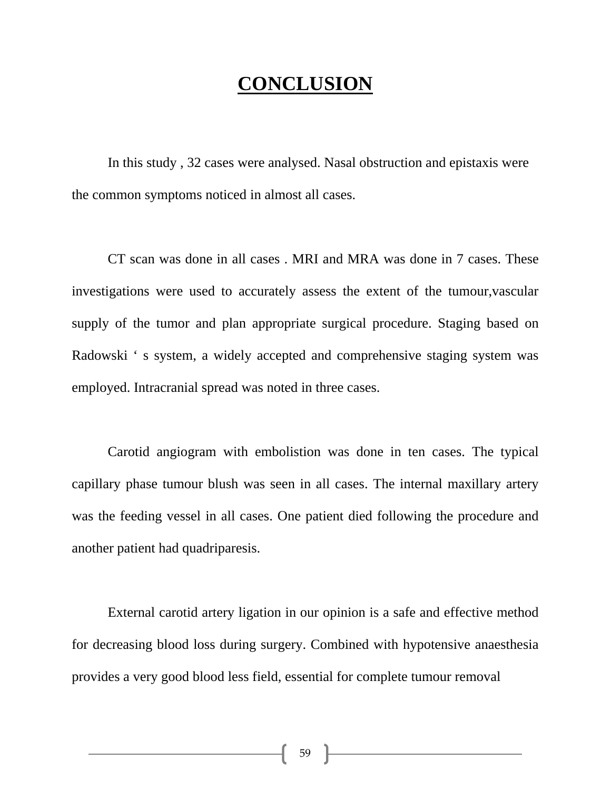## **CONCLUSION**

In this study , 32 cases were analysed. Nasal obstruction and epistaxis were the common symptoms noticed in almost all cases.

CT scan was done in all cases . MRI and MRA was done in 7 cases. These investigations were used to accurately assess the extent of the tumour,vascular supply of the tumor and plan appropriate surgical procedure. Staging based on Radowski ' s system, a widely accepted and comprehensive staging system was employed. Intracranial spread was noted in three cases.

Carotid angiogram with embolistion was done in ten cases. The typical capillary phase tumour blush was seen in all cases. The internal maxillary artery was the feeding vessel in all cases. One patient died following the procedure and another patient had quadriparesis.

External carotid artery ligation in our opinion is a safe and effective method for decreasing blood loss during surgery. Combined with hypotensive anaesthesia provides a very good blood less field, essential for complete tumour removal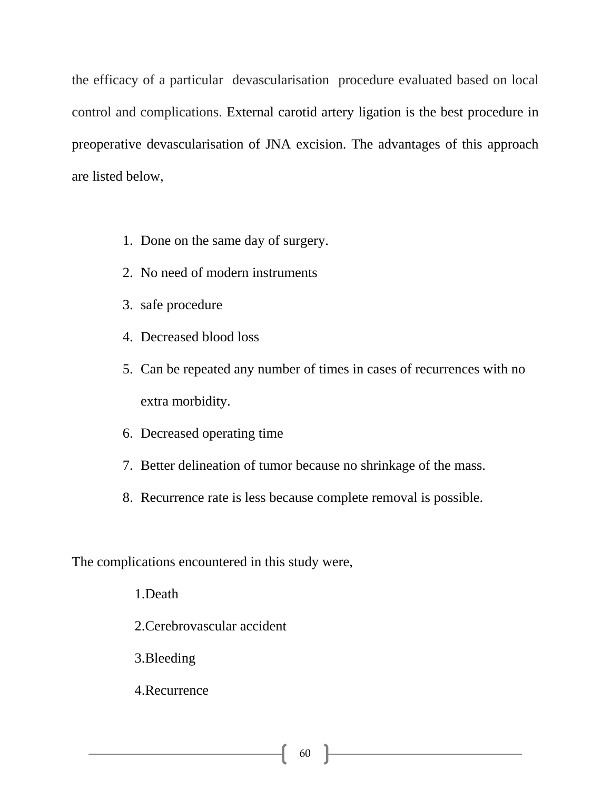the efficacy of a particular devascularisation procedure evaluated based on local control and complications. External carotid artery ligation is the best procedure in preoperative devascularisation of JNA excision. The advantages of this approach are listed below,

- 1. Done on the same day of surgery.
- 2. No need of modern instruments
- 3. safe procedure
- 4. Decreased blood loss
- 5. Can be repeated any number of times in cases of recurrences with no extra morbidity.
- 6. Decreased operating time
- 7. Better delineation of tumor because no shrinkage of the mass.
- 8. Recurrence rate is less because complete removal is possible.

The complications encountered in this study were,

1.Death 2.Cerebrovascular accident

3.Bleeding

4.Recurrence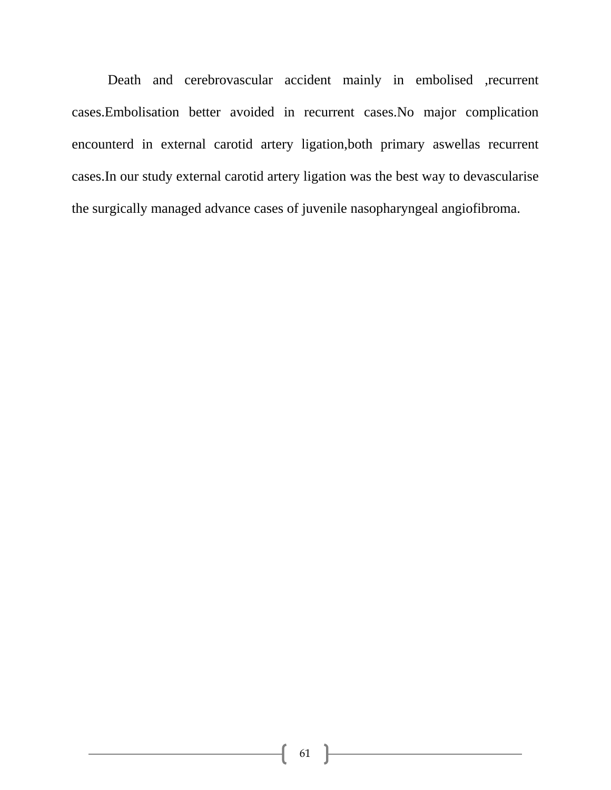Death and cerebrovascular accident mainly in embolised ,recurrent cases.Embolisation better avoided in recurrent cases.No major complication encounterd in external carotid artery ligation,both primary aswellas recurrent cases.In our study external carotid artery ligation was the best way to devascularise the surgically managed advance cases of juvenile nasopharyngeal angiofibroma.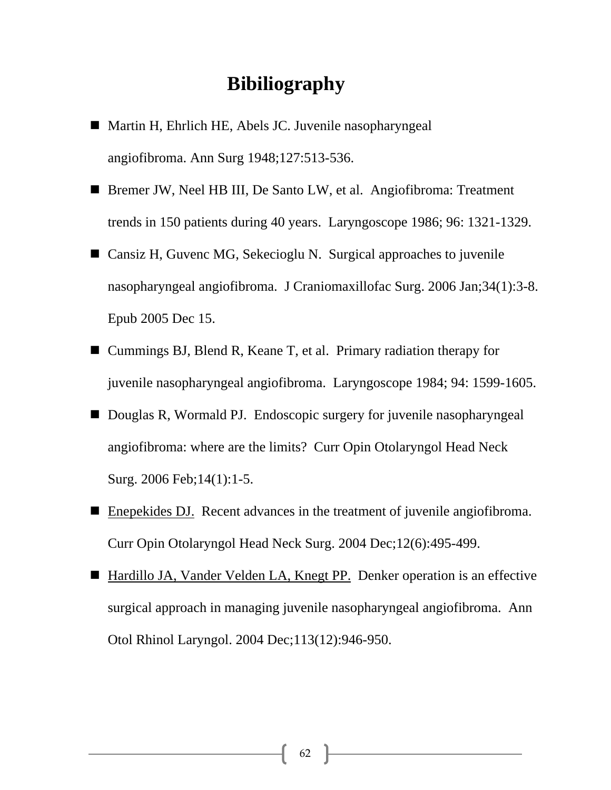## **Bibiliography**

- Martin H, Ehrlich HE, Abels JC. Juvenile nasopharyngeal angiofibroma. Ann Surg 1948;127:513-536.
- Bremer JW, Neel HB III, De Santo LW, et al. Angiofibroma: Treatment trends in 150 patients during 40 years. Laryngoscope 1986; 96: 1321-1329.
- Cansiz H, Guvenc MG, Sekecioglu N. Surgical approaches to juvenile nasopharyngeal angiofibroma. J Craniomaxillofac Surg. 2006 Jan;34(1):3-8. Epub 2005 Dec 15.
- Cummings BJ, Blend R, Keane T, et al. Primary radiation therapy for juvenile nasopharyngeal angiofibroma. Laryngoscope 1984; 94: 1599-1605.
- Douglas R, Wormald PJ. Endoscopic surgery for juvenile nasopharyngeal angiofibroma: where are the limits? Curr Opin Otolaryngol Head Neck Surg. 2006 Feb;14(1):1-5.
- Enepekides DJ. Recent advances in the treatment of juvenile angiofibroma. Curr Opin Otolaryngol Head Neck Surg. 2004 Dec;12(6):495-499.
- Hardillo JA, Vander Velden LA, Knegt PP. Denker operation is an effective surgical approach in managing juvenile nasopharyngeal angiofibroma. Ann Otol Rhinol Laryngol. 2004 Dec;113(12):946-950.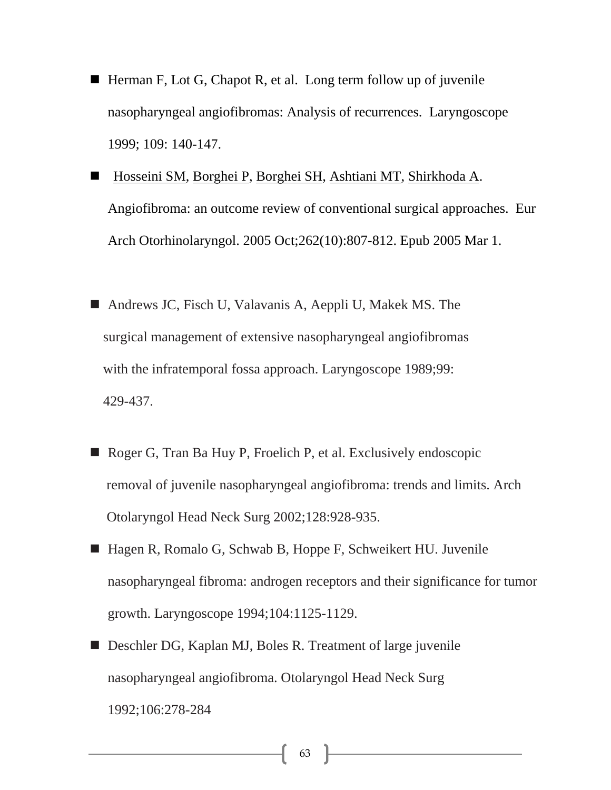- Herman F, Lot G, Chapot R, et al. Long term follow up of juvenile nasopharyngeal angiofibromas: Analysis of recurrences. Laryngoscope 1999; 109: 140-147.
- Hosseini SM, Borghei P, Borghei SH, Ashtiani MT, Shirkhoda A. Angiofibroma: an outcome review of conventional surgical approaches. Eur Arch Otorhinolaryngol. 2005 Oct;262(10):807-812. Epub 2005 Mar 1.
- Andrews JC, Fisch U, Valavanis A, Aeppli U, Makek MS. The surgical management of extensive nasopharyngeal angiofibromas with the infratemporal fossa approach. Laryngoscope 1989;99: 429-437.
- Roger G, Tran Ba Huy P, Froelich P, et al. Exclusively endoscopic removal of juvenile nasopharyngeal angiofibroma: trends and limits. Arch Otolaryngol Head Neck Surg 2002;128:928-935.
- Hagen R, Romalo G, Schwab B, Hoppe F, Schweikert HU. Juvenile nasopharyngeal fibroma: androgen receptors and their significance for tumor growth. Laryngoscope 1994;104:1125-1129.
- Deschler DG, Kaplan MJ, Boles R. Treatment of large juvenile nasopharyngeal angiofibroma. Otolaryngol Head Neck Surg 1992;106:278-284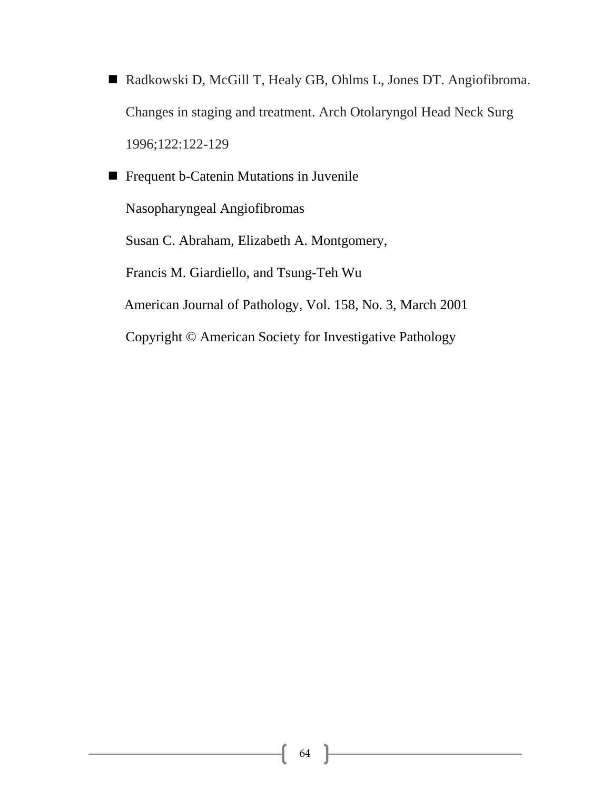- Radkowski D, McGill T, Healy GB, Ohlms L, Jones DT. Angiofibroma. Changes in staging and treatment. Arch Otolaryngol Head Neck Surg 1996;122:122-129
- **Figure 1** Frequent b-Catenin Mutations in Juvenile Nasopharyngeal Angiofibromas Susan C. Abraham, Elizabeth A. Montgomery, Francis M. Giardiello, and Tsung-Teh Wu American Journal of Pathology, Vol. 158, No. 3, March 2001 Copyright © American Society for Investigative Pathology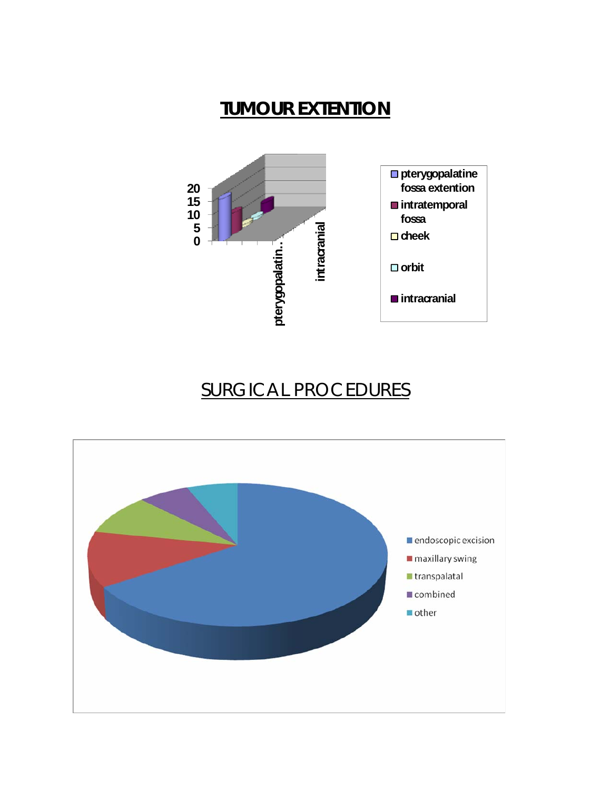## **TUMOUR EXTENTION**



## SURGICAL PROCEDURES